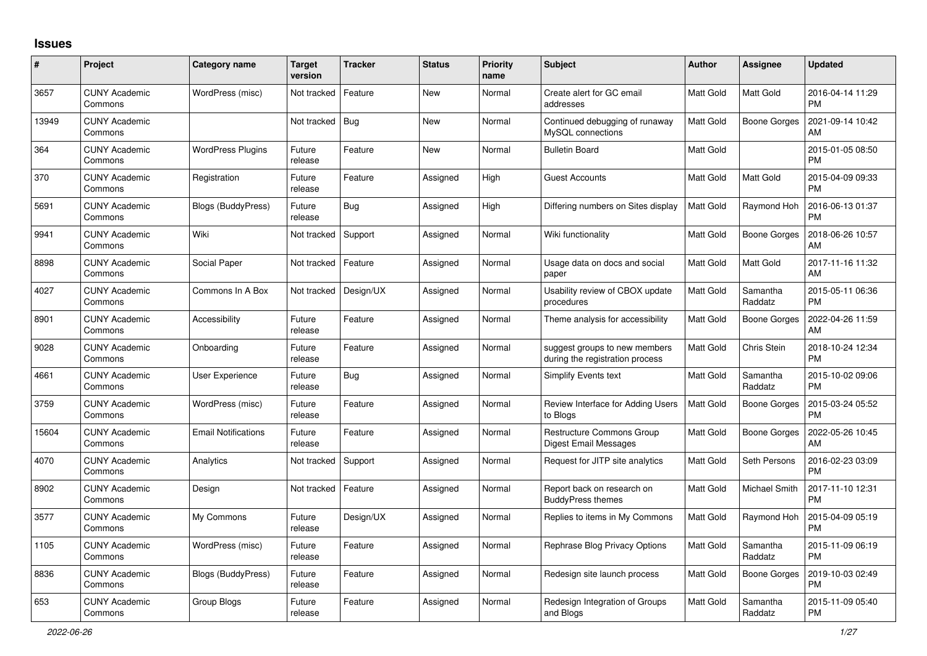## **Issues**

| $\#$  | Project                         | <b>Category name</b>       | Target<br>version | <b>Tracker</b> | <b>Status</b> | <b>Priority</b><br>name | <b>Subject</b>                                                   | <b>Author</b>    | <b>Assignee</b>     | <b>Updated</b>                |
|-------|---------------------------------|----------------------------|-------------------|----------------|---------------|-------------------------|------------------------------------------------------------------|------------------|---------------------|-------------------------------|
| 3657  | <b>CUNY Academic</b><br>Commons | WordPress (misc)           | Not tracked       | Feature        | New           | Normal                  | Create alert for GC email<br>addresses                           | <b>Matt Gold</b> | Matt Gold           | 2016-04-14 11:29<br><b>PM</b> |
| 13949 | <b>CUNY Academic</b><br>Commons |                            | Not tracked       | <b>Bug</b>     | New           | Normal                  | Continued debugging of runaway<br>MySQL connections              | <b>Matt Gold</b> | <b>Boone Gorges</b> | 2021-09-14 10:42<br>AM        |
| 364   | <b>CUNY Academic</b><br>Commons | <b>WordPress Plugins</b>   | Future<br>release | Feature        | New           | Normal                  | <b>Bulletin Board</b>                                            | Matt Gold        |                     | 2015-01-05 08:50<br><b>PM</b> |
| 370   | <b>CUNY Academic</b><br>Commons | Registration               | Future<br>release | Feature        | Assigned      | High                    | Guest Accounts                                                   | <b>Matt Gold</b> | Matt Gold           | 2015-04-09 09:33<br><b>PM</b> |
| 5691  | <b>CUNY Academic</b><br>Commons | Blogs (BuddyPress)         | Future<br>release | <b>Bug</b>     | Assigned      | High                    | Differing numbers on Sites display                               | <b>Matt Gold</b> | Raymond Hoh         | 2016-06-13 01:37<br><b>PM</b> |
| 9941  | <b>CUNY Academic</b><br>Commons | Wiki                       | Not tracked       | Support        | Assigned      | Normal                  | Wiki functionality                                               | Matt Gold        | Boone Gorges        | 2018-06-26 10:57<br>AM        |
| 8898  | <b>CUNY Academic</b><br>Commons | Social Paper               | Not tracked       | Feature        | Assigned      | Normal                  | Usage data on docs and social<br>paper                           | <b>Matt Gold</b> | <b>Matt Gold</b>    | 2017-11-16 11:32<br>AM        |
| 4027  | <b>CUNY Academic</b><br>Commons | Commons In A Box           | Not tracked       | Design/UX      | Assigned      | Normal                  | Usability review of CBOX update<br>procedures                    | <b>Matt Gold</b> | Samantha<br>Raddatz | 2015-05-11 06:36<br><b>PM</b> |
| 8901  | <b>CUNY Academic</b><br>Commons | Accessibility              | Future<br>release | Feature        | Assigned      | Normal                  | Theme analysis for accessibility                                 | <b>Matt Gold</b> | <b>Boone Gorges</b> | 2022-04-26 11:59<br>AM        |
| 9028  | <b>CUNY Academic</b><br>Commons | Onboarding                 | Future<br>release | Feature        | Assigned      | Normal                  | suggest groups to new members<br>during the registration process | <b>Matt Gold</b> | Chris Stein         | 2018-10-24 12:34<br><b>PM</b> |
| 4661  | <b>CUNY Academic</b><br>Commons | User Experience            | Future<br>release | Bug            | Assigned      | Normal                  | <b>Simplify Events text</b>                                      | <b>Matt Gold</b> | Samantha<br>Raddatz | 2015-10-02 09:06<br><b>PM</b> |
| 3759  | <b>CUNY Academic</b><br>Commons | WordPress (misc)           | Future<br>release | Feature        | Assigned      | Normal                  | Review Interface for Adding Users<br>to Blogs                    | Matt Gold        | <b>Boone Gorges</b> | 2015-03-24 05:52<br><b>PM</b> |
| 15604 | <b>CUNY Academic</b><br>Commons | <b>Email Notifications</b> | Future<br>release | Feature        | Assigned      | Normal                  | Restructure Commons Group<br>Digest Email Messages               | Matt Gold        | Boone Gorges        | 2022-05-26 10:45<br>AM        |
| 4070  | <b>CUNY Academic</b><br>Commons | Analytics                  | Not tracked       | Support        | Assigned      | Normal                  | Request for JITP site analytics                                  | <b>Matt Gold</b> | Seth Persons        | 2016-02-23 03:09<br><b>PM</b> |
| 8902  | <b>CUNY Academic</b><br>Commons | Design                     | Not tracked       | Feature        | Assigned      | Normal                  | Report back on research on<br><b>BuddyPress themes</b>           | Matt Gold        | Michael Smith       | 2017-11-10 12:31<br><b>PM</b> |
| 3577  | <b>CUNY Academic</b><br>Commons | My Commons                 | Future<br>release | Design/UX      | Assigned      | Normal                  | Replies to items in My Commons                                   | <b>Matt Gold</b> | Raymond Hoh         | 2015-04-09 05:19<br><b>PM</b> |
| 1105  | <b>CUNY Academic</b><br>Commons | WordPress (misc)           | Future<br>release | Feature        | Assigned      | Normal                  | Rephrase Blog Privacy Options                                    | <b>Matt Gold</b> | Samantha<br>Raddatz | 2015-11-09 06:19<br><b>PM</b> |
| 8836  | <b>CUNY Academic</b><br>Commons | Blogs (BuddyPress)         | Future<br>release | Feature        | Assigned      | Normal                  | Redesign site launch process                                     | <b>Matt Gold</b> | <b>Boone Gorges</b> | 2019-10-03 02:49<br><b>PM</b> |
| 653   | <b>CUNY Academic</b><br>Commons | Group Blogs                | Future<br>release | Feature        | Assigned      | Normal                  | Redesign Integration of Groups<br>and Blogs                      | Matt Gold        | Samantha<br>Raddatz | 2015-11-09 05:40<br><b>PM</b> |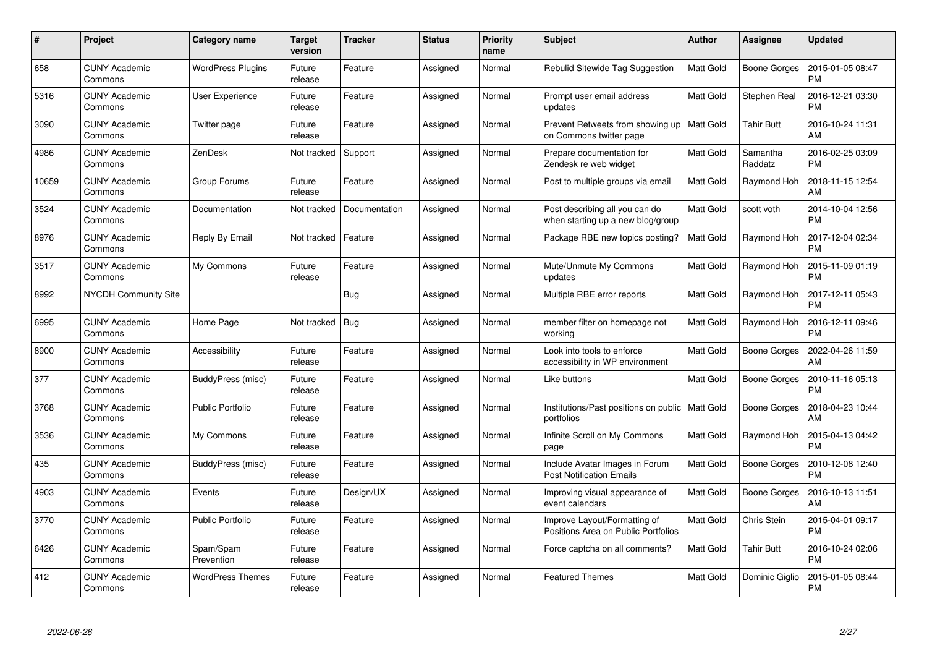| #     | Project                         | <b>Category name</b>     | <b>Target</b><br>version | <b>Tracker</b> | <b>Status</b> | <b>Priority</b><br>name | <b>Subject</b>                                                      | <b>Author</b>    | Assignee            | <b>Updated</b>                |
|-------|---------------------------------|--------------------------|--------------------------|----------------|---------------|-------------------------|---------------------------------------------------------------------|------------------|---------------------|-------------------------------|
| 658   | <b>CUNY Academic</b><br>Commons | <b>WordPress Plugins</b> | Future<br>release        | Feature        | Assigned      | Normal                  | Rebulid Sitewide Tag Suggestion                                     | Matt Gold        | <b>Boone Gorges</b> | 2015-01-05 08:47<br><b>PM</b> |
| 5316  | <b>CUNY Academic</b><br>Commons | User Experience          | Future<br>release        | Feature        | Assigned      | Normal                  | Prompt user email address<br>updates                                | <b>Matt Gold</b> | Stephen Real        | 2016-12-21 03:30<br><b>PM</b> |
| 3090  | <b>CUNY Academic</b><br>Commons | Twitter page             | Future<br>release        | Feature        | Assigned      | Normal                  | Prevent Retweets from showing up<br>on Commons twitter page         | <b>Matt Gold</b> | Tahir Butt          | 2016-10-24 11:31<br>AM        |
| 4986  | <b>CUNY Academic</b><br>Commons | ZenDesk                  | Not tracked              | Support        | Assigned      | Normal                  | Prepare documentation for<br>Zendesk re web widget                  | <b>Matt Gold</b> | Samantha<br>Raddatz | 2016-02-25 03:09<br><b>PM</b> |
| 10659 | <b>CUNY Academic</b><br>Commons | Group Forums             | Future<br>release        | Feature        | Assigned      | Normal                  | Post to multiple groups via email                                   | Matt Gold        | Raymond Hoh         | 2018-11-15 12:54<br>AM        |
| 3524  | <b>CUNY Academic</b><br>Commons | Documentation            | Not tracked              | Documentation  | Assigned      | Normal                  | Post describing all you can do<br>when starting up a new blog/group | Matt Gold        | scott voth          | 2014-10-04 12:56<br><b>PM</b> |
| 8976  | <b>CUNY Academic</b><br>Commons | Reply By Email           | Not tracked              | Feature        | Assigned      | Normal                  | Package RBE new topics posting?                                     | Matt Gold        | Raymond Hoh         | 2017-12-04 02:34<br><b>PM</b> |
| 3517  | <b>CUNY Academic</b><br>Commons | My Commons               | Future<br>release        | Feature        | Assigned      | Normal                  | Mute/Unmute My Commons<br>updates                                   | Matt Gold        | Raymond Hoh         | 2015-11-09 01:19<br><b>PM</b> |
| 8992  | <b>NYCDH Community Site</b>     |                          |                          | Bug            | Assigned      | Normal                  | Multiple RBE error reports                                          | <b>Matt Gold</b> | Raymond Hoh         | 2017-12-11 05:43<br><b>PM</b> |
| 6995  | <b>CUNY Academic</b><br>Commons | Home Page                | Not tracked              | Bug            | Assigned      | Normal                  | member filter on homepage not<br>working                            | Matt Gold        | Raymond Hoh         | 2016-12-11 09:46<br><b>PM</b> |
| 8900  | <b>CUNY Academic</b><br>Commons | Accessibility            | Future<br>release        | Feature        | Assigned      | Normal                  | Look into tools to enforce<br>accessibility in WP environment       | <b>Matt Gold</b> | <b>Boone Gorges</b> | 2022-04-26 11:59<br>AM        |
| 377   | <b>CUNY Academic</b><br>Commons | BuddyPress (misc)        | Future<br>release        | Feature        | Assigned      | Normal                  | Like buttons                                                        | Matt Gold        | <b>Boone Gorges</b> | 2010-11-16 05:13<br><b>PM</b> |
| 3768  | <b>CUNY Academic</b><br>Commons | <b>Public Portfolio</b>  | Future<br>release        | Feature        | Assigned      | Normal                  | Institutions/Past positions on public   Matt Gold<br>portfolios     |                  | Boone Gorges        | 2018-04-23 10:44<br>AM        |
| 3536  | <b>CUNY Academic</b><br>Commons | My Commons               | Future<br>release        | Feature        | Assigned      | Normal                  | Infinite Scroll on My Commons<br>page                               | Matt Gold        | Raymond Hoh         | 2015-04-13 04:42<br><b>PM</b> |
| 435   | <b>CUNY Academic</b><br>Commons | BuddyPress (misc)        | Future<br>release        | Feature        | Assigned      | Normal                  | Include Avatar Images in Forum<br>Post Notification Emails          | Matt Gold        | Boone Gorges        | 2010-12-08 12:40<br><b>PM</b> |
| 4903  | <b>CUNY Academic</b><br>Commons | Events                   | Future<br>release        | Design/UX      | Assigned      | Normal                  | Improving visual appearance of<br>event calendars                   | Matt Gold        | Boone Gorges        | 2016-10-13 11:51<br>AM        |
| 3770  | <b>CUNY Academic</b><br>Commons | <b>Public Portfolio</b>  | Future<br>release        | Feature        | Assigned      | Normal                  | Improve Layout/Formatting of<br>Positions Area on Public Portfolios | Matt Gold        | Chris Stein         | 2015-04-01 09:17<br><b>PM</b> |
| 6426  | <b>CUNY Academic</b><br>Commons | Spam/Spam<br>Prevention  | Future<br>release        | Feature        | Assigned      | Normal                  | Force captcha on all comments?                                      | Matt Gold        | <b>Tahir Butt</b>   | 2016-10-24 02:06<br><b>PM</b> |
| 412   | <b>CUNY Academic</b><br>Commons | <b>WordPress Themes</b>  | Future<br>release        | Feature        | Assigned      | Normal                  | <b>Featured Themes</b>                                              | <b>Matt Gold</b> | Dominic Giglio      | 2015-01-05 08:44<br>PM        |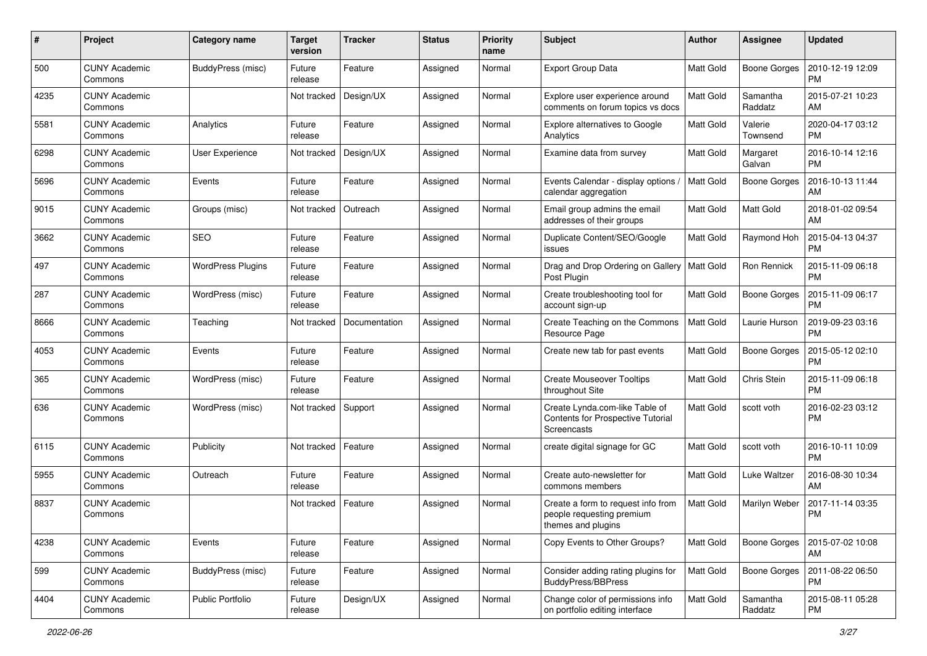| #    | Project                         | <b>Category name</b>     | <b>Target</b><br>version | <b>Tracker</b> | <b>Status</b> | <b>Priority</b><br>name | <b>Subject</b>                                                                        | <b>Author</b>    | <b>Assignee</b>     | <b>Updated</b>                |
|------|---------------------------------|--------------------------|--------------------------|----------------|---------------|-------------------------|---------------------------------------------------------------------------------------|------------------|---------------------|-------------------------------|
| 500  | <b>CUNY Academic</b><br>Commons | BuddyPress (misc)        | Future<br>release        | Feature        | Assigned      | Normal                  | Export Group Data                                                                     | <b>Matt Gold</b> | <b>Boone Gorges</b> | 2010-12-19 12:09<br><b>PM</b> |
| 4235 | <b>CUNY Academic</b><br>Commons |                          | Not tracked              | Design/UX      | Assigned      | Normal                  | Explore user experience around<br>comments on forum topics vs docs                    | <b>Matt Gold</b> | Samantha<br>Raddatz | 2015-07-21 10:23<br>AM        |
| 5581 | <b>CUNY Academic</b><br>Commons | Analytics                | Future<br>release        | Feature        | Assigned      | Normal                  | <b>Explore alternatives to Google</b><br>Analytics                                    | <b>Matt Gold</b> | Valerie<br>Townsend | 2020-04-17 03:12<br><b>PM</b> |
| 6298 | <b>CUNY Academic</b><br>Commons | User Experience          | Not tracked              | Design/UX      | Assigned      | Normal                  | Examine data from survey                                                              | <b>Matt Gold</b> | Margaret<br>Galvan  | 2016-10-14 12:16<br><b>PM</b> |
| 5696 | <b>CUNY Academic</b><br>Commons | Events                   | Future<br>release        | Feature        | Assigned      | Normal                  | Events Calendar - display options /<br>calendar aggregation                           | <b>Matt Gold</b> | <b>Boone Gorges</b> | 2016-10-13 11:44<br>AM        |
| 9015 | <b>CUNY Academic</b><br>Commons | Groups (misc)            | Not tracked              | Outreach       | Assigned      | Normal                  | Email group admins the email<br>addresses of their groups                             | <b>Matt Gold</b> | Matt Gold           | 2018-01-02 09:54<br>AM        |
| 3662 | <b>CUNY Academic</b><br>Commons | <b>SEO</b>               | Future<br>release        | Feature        | Assigned      | Normal                  | Duplicate Content/SEO/Google<br>issues                                                | <b>Matt Gold</b> | Raymond Hoh         | 2015-04-13 04:37<br><b>PM</b> |
| 497  | <b>CUNY Academic</b><br>Commons | <b>WordPress Plugins</b> | Future<br>release        | Feature        | Assigned      | Normal                  | Drag and Drop Ordering on Gallery<br>Post Plugin                                      | Matt Gold        | <b>Ron Rennick</b>  | 2015-11-09 06:18<br><b>PM</b> |
| 287  | <b>CUNY Academic</b><br>Commons | WordPress (misc)         | Future<br>release        | Feature        | Assigned      | Normal                  | Create troubleshooting tool for<br>account sign-up                                    | <b>Matt Gold</b> | <b>Boone Gorges</b> | 2015-11-09 06:17<br><b>PM</b> |
| 8666 | <b>CUNY Academic</b><br>Commons | Teaching                 | Not tracked              | Documentation  | Assigned      | Normal                  | Create Teaching on the Commons<br>Resource Page                                       | <b>Matt Gold</b> | Laurie Hurson       | 2019-09-23 03:16<br><b>PM</b> |
| 4053 | <b>CUNY Academic</b><br>Commons | Events                   | Future<br>release        | Feature        | Assigned      | Normal                  | Create new tab for past events                                                        | <b>Matt Gold</b> | <b>Boone Gorges</b> | 2015-05-12 02:10<br><b>PM</b> |
| 365  | <b>CUNY Academic</b><br>Commons | WordPress (misc)         | Future<br>release        | Feature        | Assigned      | Normal                  | <b>Create Mouseover Tooltips</b><br>throughout Site                                   | <b>Matt Gold</b> | Chris Stein         | 2015-11-09 06:18<br>l PM      |
| 636  | <b>CUNY Academic</b><br>Commons | WordPress (misc)         | Not tracked              | Support        | Assigned      | Normal                  | Create Lynda.com-like Table of<br>Contents for Prospective Tutorial<br>Screencasts    | <b>Matt Gold</b> | scott voth          | 2016-02-23 03:12<br><b>PM</b> |
| 6115 | <b>CUNY Academic</b><br>Commons | Publicity                | Not tracked              | Feature        | Assigned      | Normal                  | create digital signage for GC                                                         | <b>Matt Gold</b> | scott voth          | 2016-10-11 10:09<br><b>PM</b> |
| 5955 | <b>CUNY Academic</b><br>Commons | Outreach                 | Future<br>release        | Feature        | Assigned      | Normal                  | Create auto-newsletter for<br>commons members                                         | <b>Matt Gold</b> | Luke Waltzer        | 2016-08-30 10:34<br>AM        |
| 8837 | <b>CUNY Academic</b><br>Commons |                          | Not tracked              | Feature        | Assigned      | Normal                  | Create a form to request info from<br>people requesting premium<br>themes and plugins | <b>Matt Gold</b> | Marilyn Weber       | 2017-11-14 03:35<br><b>PM</b> |
| 4238 | <b>CUNY Academic</b><br>Commons | Events                   | Future<br>release        | Feature        | Assigned      | Normal                  | Copy Events to Other Groups?                                                          | Matt Gold        | <b>Boone Gorges</b> | 2015-07-02 10:08<br>AM        |
| 599  | <b>CUNY Academic</b><br>Commons | BuddyPress (misc)        | Future<br>release        | Feature        | Assigned      | Normal                  | Consider adding rating plugins for<br><b>BuddyPress/BBPress</b>                       | <b>Matt Gold</b> | <b>Boone Gorges</b> | 2011-08-22 06:50<br><b>PM</b> |
| 4404 | <b>CUNY Academic</b><br>Commons | Public Portfolio         | Future<br>release        | Design/UX      | Assigned      | Normal                  | Change color of permissions info<br>on portfolio editing interface                    | Matt Gold        | Samantha<br>Raddatz | 2015-08-11 05:28<br><b>PM</b> |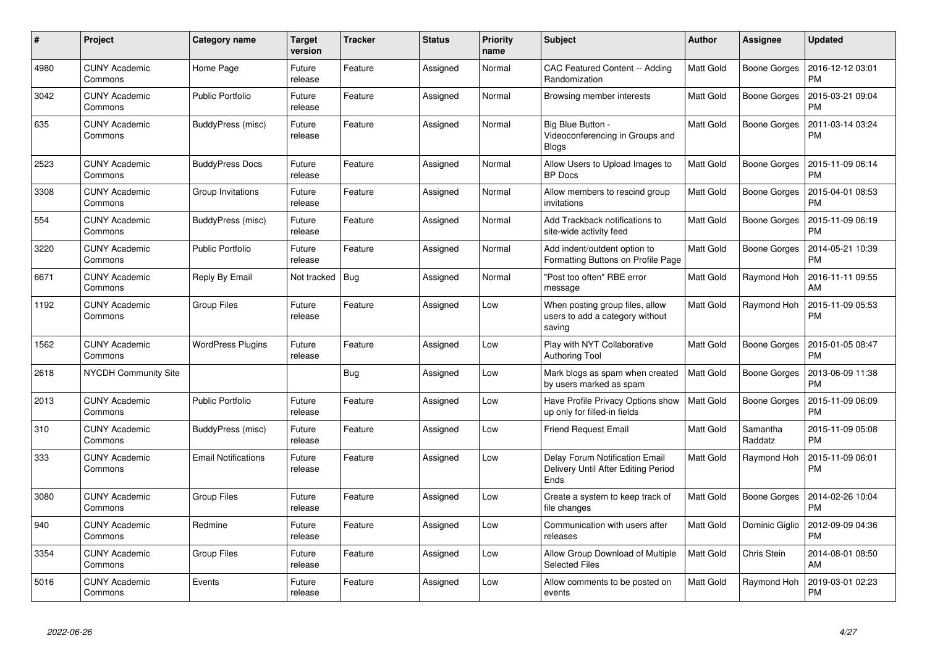| #    | Project                         | Category name              | <b>Target</b><br>version | <b>Tracker</b> | <b>Status</b> | Priority<br>name | <b>Subject</b>                                                                | Author           | Assignee            | <b>Updated</b>                |
|------|---------------------------------|----------------------------|--------------------------|----------------|---------------|------------------|-------------------------------------------------------------------------------|------------------|---------------------|-------------------------------|
| 4980 | <b>CUNY Academic</b><br>Commons | Home Page                  | Future<br>release        | Feature        | Assigned      | Normal           | CAC Featured Content -- Adding<br>Randomization                               | <b>Matt Gold</b> | Boone Gorges        | 2016-12-12 03:01<br><b>PM</b> |
| 3042 | <b>CUNY Academic</b><br>Commons | <b>Public Portfolio</b>    | Future<br>release        | Feature        | Assigned      | Normal           | Browsing member interests                                                     | <b>Matt Gold</b> | <b>Boone Gorges</b> | 2015-03-21 09:04<br><b>PM</b> |
| 635  | <b>CUNY Academic</b><br>Commons | BuddyPress (misc)          | Future<br>release        | Feature        | Assigned      | Normal           | Big Blue Button -<br>Videoconferencing in Groups and<br><b>Blogs</b>          | <b>Matt Gold</b> | <b>Boone Gorges</b> | 2011-03-14 03:24<br><b>PM</b> |
| 2523 | <b>CUNY Academic</b><br>Commons | <b>BuddyPress Docs</b>     | Future<br>release        | Feature        | Assigned      | Normal           | Allow Users to Upload Images to<br><b>BP</b> Docs                             | Matt Gold        | <b>Boone Gorges</b> | 2015-11-09 06:14<br><b>PM</b> |
| 3308 | <b>CUNY Academic</b><br>Commons | Group Invitations          | Future<br>release        | Feature        | Assigned      | Normal           | Allow members to rescind group<br>invitations                                 | Matt Gold        | Boone Gorges        | 2015-04-01 08:53<br><b>PM</b> |
| 554  | <b>CUNY Academic</b><br>Commons | BuddyPress (misc)          | Future<br>release        | Feature        | Assigned      | Normal           | Add Trackback notifications to<br>site-wide activity feed                     | Matt Gold        | Boone Gorges        | 2015-11-09 06:19<br><b>PM</b> |
| 3220 | <b>CUNY Academic</b><br>Commons | <b>Public Portfolio</b>    | Future<br>release        | Feature        | Assigned      | Normal           | Add indent/outdent option to<br>Formatting Buttons on Profile Page            | Matt Gold        | <b>Boone Gorges</b> | 2014-05-21 10:39<br><b>PM</b> |
| 6671 | <b>CUNY Academic</b><br>Commons | Reply By Email             | Not tracked              | <b>Bug</b>     | Assigned      | Normal           | "Post too often" RBE error<br>message                                         | Matt Gold        | Raymond Hoh         | 2016-11-11 09:55<br>AM        |
| 1192 | <b>CUNY Academic</b><br>Commons | <b>Group Files</b>         | Future<br>release        | Feature        | Assigned      | Low              | When posting group files, allow<br>users to add a category without<br>saving  | Matt Gold        | Raymond Hoh         | 2015-11-09 05:53<br>PM        |
| 1562 | <b>CUNY Academic</b><br>Commons | <b>WordPress Plugins</b>   | Future<br>release        | Feature        | Assigned      | Low              | Play with NYT Collaborative<br><b>Authoring Tool</b>                          | Matt Gold        | <b>Boone Gorges</b> | 2015-01-05 08:47<br><b>PM</b> |
| 2618 | NYCDH Community Site            |                            |                          | Bug            | Assigned      | Low              | Mark blogs as spam when created<br>by users marked as spam                    | Matt Gold        | Boone Gorges        | 2013-06-09 11:38<br><b>PM</b> |
| 2013 | <b>CUNY Academic</b><br>Commons | <b>Public Portfolio</b>    | Future<br>release        | Feature        | Assigned      | Low              | Have Profile Privacy Options show<br>up only for filled-in fields             | <b>Matt Gold</b> | <b>Boone Gorges</b> | 2015-11-09 06:09<br><b>PM</b> |
| 310  | <b>CUNY Academic</b><br>Commons | BuddyPress (misc)          | Future<br>release        | Feature        | Assigned      | Low              | Friend Request Email                                                          | Matt Gold        | Samantha<br>Raddatz | 2015-11-09 05:08<br>PM        |
| 333  | <b>CUNY Academic</b><br>Commons | <b>Email Notifications</b> | Future<br>release        | Feature        | Assigned      | Low              | Delay Forum Notification Email<br>Delivery Until After Editing Period<br>Ends | Matt Gold        | Raymond Hoh         | 2015-11-09 06:01<br><b>PM</b> |
| 3080 | CUNY Academic<br>Commons        | <b>Group Files</b>         | Future<br>release        | Feature        | Assigned      | Low              | Create a system to keep track of<br>file changes                              | Matt Gold        | Boone Gorges        | 2014-02-26 10:04<br><b>PM</b> |
| 940  | <b>CUNY Academic</b><br>Commons | Redmine                    | Future<br>release        | Feature        | Assigned      | Low              | Communication with users after<br>releases                                    | Matt Gold        | Dominic Giglio      | 2012-09-09 04:36<br><b>PM</b> |
| 3354 | <b>CUNY Academic</b><br>Commons | <b>Group Files</b>         | Future<br>release        | Feature        | Assigned      | Low              | Allow Group Download of Multiple<br><b>Selected Files</b>                     | <b>Matt Gold</b> | Chris Stein         | 2014-08-01 08:50<br>AM        |
| 5016 | <b>CUNY Academic</b><br>Commons | Events                     | Future<br>release        | Feature        | Assigned      | Low              | Allow comments to be posted on<br>events                                      | Matt Gold        | Raymond Hoh         | 2019-03-01 02:23<br>PM        |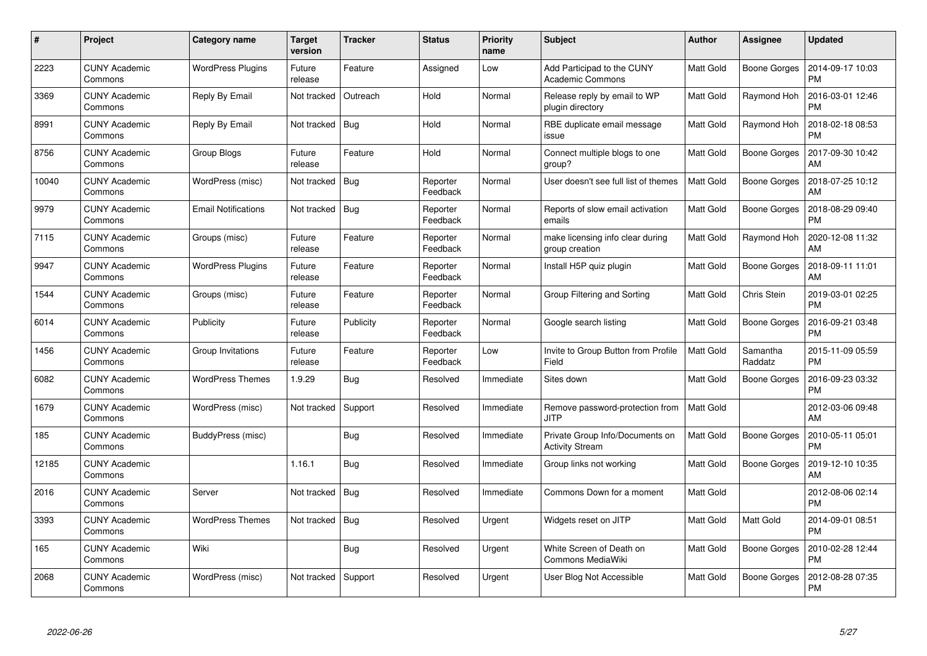| #     | Project                         | <b>Category name</b>       | <b>Target</b><br>version | <b>Tracker</b> | <b>Status</b>        | <b>Priority</b><br>name | <b>Subject</b>                                            | <b>Author</b>    | Assignee            | <b>Updated</b>                |
|-------|---------------------------------|----------------------------|--------------------------|----------------|----------------------|-------------------------|-----------------------------------------------------------|------------------|---------------------|-------------------------------|
| 2223  | <b>CUNY Academic</b><br>Commons | <b>WordPress Plugins</b>   | Future<br>release        | Feature        | Assigned             | Low                     | Add Participad to the CUNY<br><b>Academic Commons</b>     | <b>Matt Gold</b> | Boone Gorges        | 2014-09-17 10:03<br><b>PM</b> |
| 3369  | <b>CUNY Academic</b><br>Commons | Reply By Email             | Not tracked              | Outreach       | Hold                 | Normal                  | Release reply by email to WP<br>plugin directory          | <b>Matt Gold</b> | Raymond Hoh         | 2016-03-01 12:46<br><b>PM</b> |
| 8991  | <b>CUNY Academic</b><br>Commons | Reply By Email             | Not tracked              | Bug            | Hold                 | Normal                  | RBE duplicate email message<br>issue                      | <b>Matt Gold</b> | Raymond Hoh         | 2018-02-18 08:53<br><b>PM</b> |
| 8756  | <b>CUNY Academic</b><br>Commons | Group Blogs                | Future<br>release        | Feature        | Hold                 | Normal                  | Connect multiple blogs to one<br>group?                   | Matt Gold        | Boone Gorges        | 2017-09-30 10:42<br>AM        |
| 10040 | <b>CUNY Academic</b><br>Commons | WordPress (misc)           | Not tracked              | Bug            | Reporter<br>Feedback | Normal                  | User doesn't see full list of themes                      | <b>Matt Gold</b> | Boone Gorges        | 2018-07-25 10:12<br>AM        |
| 9979  | <b>CUNY Academic</b><br>Commons | <b>Email Notifications</b> | Not tracked              | Bug            | Reporter<br>Feedback | Normal                  | Reports of slow email activation<br>emails                | Matt Gold        | Boone Gorges        | 2018-08-29 09:40<br><b>PM</b> |
| 7115  | <b>CUNY Academic</b><br>Commons | Groups (misc)              | Future<br>release        | Feature        | Reporter<br>Feedback | Normal                  | make licensing info clear during<br>group creation        | <b>Matt Gold</b> | Raymond Hoh         | 2020-12-08 11:32<br>AM        |
| 9947  | <b>CUNY Academic</b><br>Commons | <b>WordPress Plugins</b>   | Future<br>release        | Feature        | Reporter<br>Feedback | Normal                  | Install H5P quiz plugin                                   | <b>Matt Gold</b> | <b>Boone Gorges</b> | 2018-09-11 11:01<br>AM        |
| 1544  | <b>CUNY Academic</b><br>Commons | Groups (misc)              | Future<br>release        | Feature        | Reporter<br>Feedback | Normal                  | Group Filtering and Sorting                               | <b>Matt Gold</b> | Chris Stein         | 2019-03-01 02:25<br><b>PM</b> |
| 6014  | <b>CUNY Academic</b><br>Commons | Publicity                  | Future<br>release        | Publicity      | Reporter<br>Feedback | Normal                  | Google search listing                                     | Matt Gold        | <b>Boone Gorges</b> | 2016-09-21 03:48<br><b>PM</b> |
| 1456  | <b>CUNY Academic</b><br>Commons | Group Invitations          | Future<br>release        | Feature        | Reporter<br>Feedback | Low                     | Invite to Group Button from Profile<br>Field              | Matt Gold        | Samantha<br>Raddatz | 2015-11-09 05:59<br><b>PM</b> |
| 6082  | <b>CUNY Academic</b><br>Commons | <b>WordPress Themes</b>    | 1.9.29                   | Bug            | Resolved             | Immediate               | Sites down                                                | <b>Matt Gold</b> | <b>Boone Gorges</b> | 2016-09-23 03:32<br><b>PM</b> |
| 1679  | <b>CUNY Academic</b><br>Commons | WordPress (misc)           | Not tracked              | Support        | Resolved             | Immediate               | Remove password-protection from<br>JITP                   | <b>Matt Gold</b> |                     | 2012-03-06 09:48<br>AM        |
| 185   | <b>CUNY Academic</b><br>Commons | BuddyPress (misc)          |                          | Bug            | Resolved             | Immediate               | Private Group Info/Documents on<br><b>Activity Stream</b> | <b>Matt Gold</b> | <b>Boone Gorges</b> | 2010-05-11 05:01<br><b>PM</b> |
| 12185 | <b>CUNY Academic</b><br>Commons |                            | 1.16.1                   | Bug            | Resolved             | Immediate               | Group links not working                                   | <b>Matt Gold</b> | Boone Gorges        | 2019-12-10 10:35<br>AM        |
| 2016  | <b>CUNY Academic</b><br>Commons | Server                     | Not tracked              | Bug            | Resolved             | Immediate               | Commons Down for a moment                                 | Matt Gold        |                     | 2012-08-06 02:14<br><b>PM</b> |
| 3393  | <b>CUNY Academic</b><br>Commons | <b>WordPress Themes</b>    | Not tracked              | Bug            | Resolved             | Urgent                  | Widgets reset on JITP                                     | <b>Matt Gold</b> | <b>Matt Gold</b>    | 2014-09-01 08:51<br><b>PM</b> |
| 165   | <b>CUNY Academic</b><br>Commons | Wiki                       |                          | <b>Bug</b>     | Resolved             | Urgent                  | White Screen of Death on<br><b>Commons MediaWiki</b>      | <b>Matt Gold</b> | <b>Boone Gorges</b> | 2010-02-28 12:44<br><b>PM</b> |
| 2068  | CUNY Academic<br>Commons        | WordPress (misc)           | Not tracked              | Support        | Resolved             | Urgent                  | User Blog Not Accessible                                  | <b>Matt Gold</b> | Boone Gorges        | 2012-08-28 07:35<br><b>PM</b> |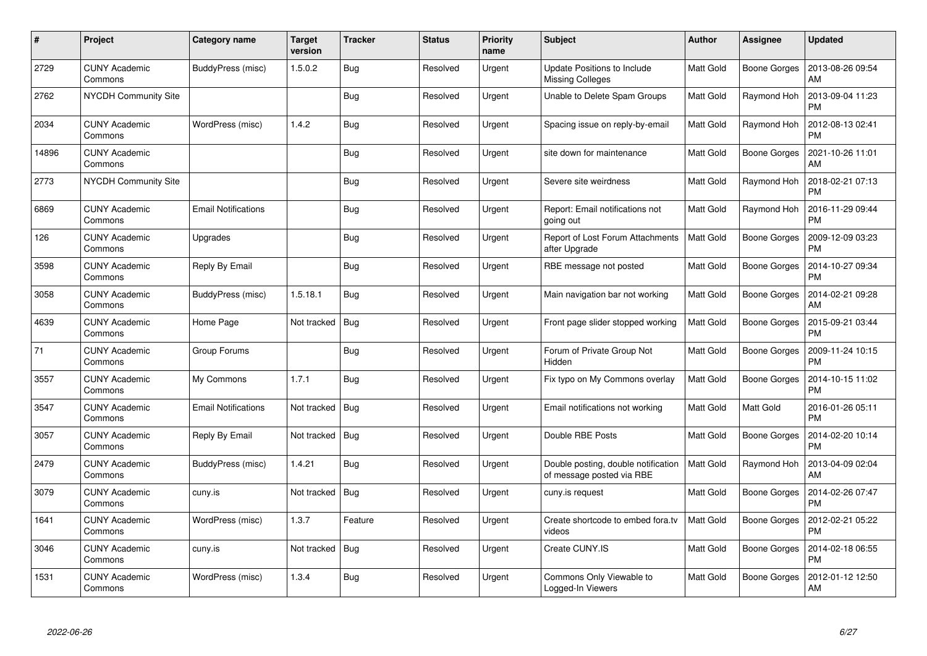| $\#$  | Project                         | Category name              | <b>Target</b><br>version | Tracker    | <b>Status</b> | <b>Priority</b><br>name | <b>Subject</b>                                                   | Author           | Assignee            | <b>Updated</b>                |
|-------|---------------------------------|----------------------------|--------------------------|------------|---------------|-------------------------|------------------------------------------------------------------|------------------|---------------------|-------------------------------|
| 2729  | <b>CUNY Academic</b><br>Commons | BuddyPress (misc)          | 1.5.0.2                  | <b>Bug</b> | Resolved      | Urgent                  | Update Positions to Include<br><b>Missing Colleges</b>           | Matt Gold        | Boone Gorges        | 2013-08-26 09:54<br>AM        |
| 2762  | <b>NYCDH Community Site</b>     |                            |                          | Bug        | Resolved      | Urgent                  | Unable to Delete Spam Groups                                     | Matt Gold        | Raymond Hoh         | 2013-09-04 11:23<br><b>PM</b> |
| 2034  | <b>CUNY Academic</b><br>Commons | WordPress (misc)           | 1.4.2                    | Bug        | Resolved      | Urgent                  | Spacing issue on reply-by-email                                  | Matt Gold        | Raymond Hoh         | 2012-08-13 02:41<br><b>PM</b> |
| 14896 | <b>CUNY Academic</b><br>Commons |                            |                          | Bug        | Resolved      | Urgent                  | site down for maintenance                                        | Matt Gold        | Boone Gorges        | 2021-10-26 11:01<br>AM        |
| 2773  | <b>NYCDH Community Site</b>     |                            |                          | <b>Bug</b> | Resolved      | Urgent                  | Severe site weirdness                                            | Matt Gold        | Raymond Hoh         | 2018-02-21 07:13<br><b>PM</b> |
| 6869  | <b>CUNY Academic</b><br>Commons | <b>Email Notifications</b> |                          | Bug        | Resolved      | Urgent                  | Report: Email notifications not<br>going out                     | Matt Gold        | Raymond Hoh         | 2016-11-29 09:44<br><b>PM</b> |
| 126   | <b>CUNY Academic</b><br>Commons | Upgrades                   |                          | <b>Bug</b> | Resolved      | Urgent                  | Report of Lost Forum Attachments<br>after Upgrade                | <b>Matt Gold</b> | <b>Boone Gorges</b> | 2009-12-09 03:23<br><b>PM</b> |
| 3598  | <b>CUNY Academic</b><br>Commons | Reply By Email             |                          | <b>Bug</b> | Resolved      | Urgent                  | RBE message not posted                                           | Matt Gold        | Boone Gorges        | 2014-10-27 09:34<br><b>PM</b> |
| 3058  | <b>CUNY Academic</b><br>Commons | BuddyPress (misc)          | 1.5.18.1                 | Bug        | Resolved      | Urgent                  | Main navigation bar not working                                  | <b>Matt Gold</b> | <b>Boone Gorges</b> | 2014-02-21 09:28<br>AM        |
| 4639  | <b>CUNY Academic</b><br>Commons | Home Page                  | Not tracked              | Bug        | Resolved      | Urgent                  | Front page slider stopped working                                | <b>Matt Gold</b> | Boone Gorges        | 2015-09-21 03:44<br>PM        |
| 71    | <b>CUNY Academic</b><br>Commons | Group Forums               |                          | <b>Bug</b> | Resolved      | Urgent                  | Forum of Private Group Not<br>Hidden                             | Matt Gold        | <b>Boone Gorges</b> | 2009-11-24 10:15<br><b>PM</b> |
| 3557  | <b>CUNY Academic</b><br>Commons | My Commons                 | 1.7.1                    | <b>Bug</b> | Resolved      | Urgent                  | Fix typo on My Commons overlay                                   | Matt Gold        | Boone Gorges        | 2014-10-15 11:02<br><b>PM</b> |
| 3547  | <b>CUNY Academic</b><br>Commons | <b>Email Notifications</b> | Not tracked              | Bug        | Resolved      | Urgent                  | Email notifications not working                                  | Matt Gold        | Matt Gold           | 2016-01-26 05:11<br><b>PM</b> |
| 3057  | <b>CUNY Academic</b><br>Commons | Reply By Email             | Not tracked              | Bug        | Resolved      | Urgent                  | Double RBE Posts                                                 | Matt Gold        | Boone Gorges        | 2014-02-20 10:14<br><b>PM</b> |
| 2479  | <b>CUNY Academic</b><br>Commons | BuddyPress (misc)          | 1.4.21                   | <b>Bug</b> | Resolved      | Urgent                  | Double posting, double notification<br>of message posted via RBE | Matt Gold        | Raymond Hoh         | 2013-04-09 02:04<br>AM        |
| 3079  | <b>CUNY Academic</b><br>Commons | cuny.is                    | Not tracked              | Bug        | Resolved      | Urgent                  | cuny.is request                                                  | Matt Gold        | <b>Boone Gorges</b> | 2014-02-26 07:47<br><b>PM</b> |
| 1641  | <b>CUNY Academic</b><br>Commons | WordPress (misc)           | 1.3.7                    | Feature    | Resolved      | Urgent                  | Create shortcode to embed fora.tv<br>videos                      | Matt Gold        | Boone Gorges        | 2012-02-21 05:22<br><b>PM</b> |
| 3046  | <b>CUNY Academic</b><br>Commons | cuny.is                    | Not tracked              | Bug        | Resolved      | Urgent                  | Create CUNY.IS                                                   | Matt Gold        | <b>Boone Gorges</b> | 2014-02-18 06:55<br><b>PM</b> |
| 1531  | CUNY Academic<br>Commons        | WordPress (misc)           | 1.3.4                    | <b>Bug</b> | Resolved      | Urgent                  | Commons Only Viewable to<br>Logged-In Viewers                    | Matt Gold        | <b>Boone Gorges</b> | 2012-01-12 12:50<br>AM        |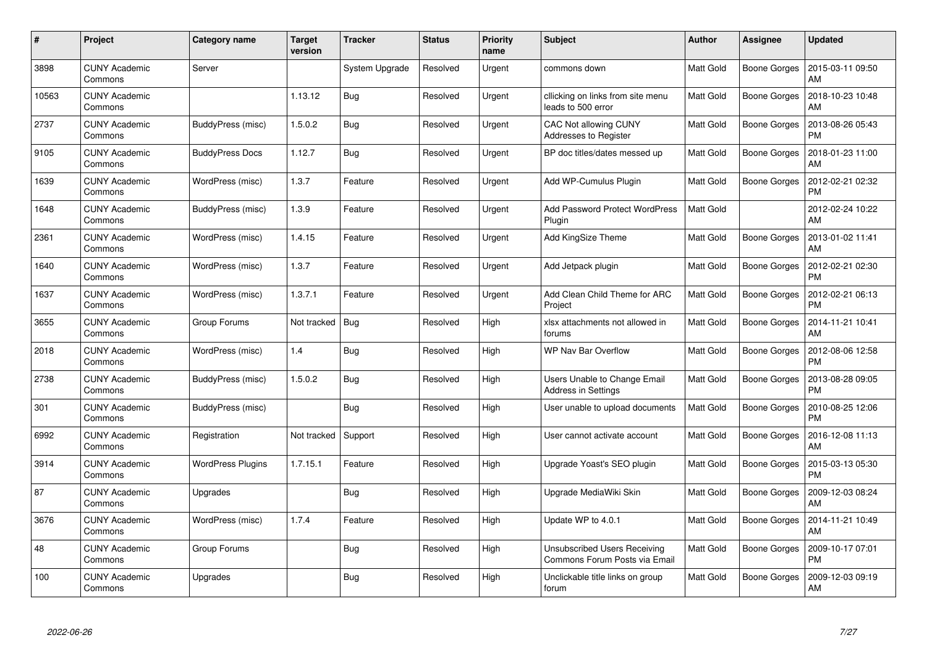| #     | Project                         | <b>Category name</b>     | <b>Target</b><br>version | <b>Tracker</b> | <b>Status</b> | <b>Priority</b><br>name | <b>Subject</b>                                                | <b>Author</b>    | <b>Assignee</b>     | <b>Updated</b>                |
|-------|---------------------------------|--------------------------|--------------------------|----------------|---------------|-------------------------|---------------------------------------------------------------|------------------|---------------------|-------------------------------|
| 3898  | <b>CUNY Academic</b><br>Commons | Server                   |                          | System Upgrade | Resolved      | Urgent                  | commons down                                                  | <b>Matt Gold</b> | Boone Gorges        | 2015-03-11 09:50<br>AM        |
| 10563 | <b>CUNY Academic</b><br>Commons |                          | 1.13.12                  | <b>Bug</b>     | Resolved      | Urgent                  | cllicking on links from site menu<br>leads to 500 error       | <b>Matt Gold</b> | <b>Boone Gorges</b> | 2018-10-23 10:48<br>AM        |
| 2737  | <b>CUNY Academic</b><br>Commons | BuddyPress (misc)        | 1.5.0.2                  | Bug            | Resolved      | Urgent                  | <b>CAC Not allowing CUNY</b><br>Addresses to Register         | <b>Matt Gold</b> | <b>Boone Gorges</b> | 2013-08-26 05:43<br><b>PM</b> |
| 9105  | <b>CUNY Academic</b><br>Commons | <b>BuddyPress Docs</b>   | 1.12.7                   | <b>Bug</b>     | Resolved      | Urgent                  | BP doc titles/dates messed up                                 | Matt Gold        | Boone Gorges        | 2018-01-23 11:00<br>AM        |
| 1639  | <b>CUNY Academic</b><br>Commons | WordPress (misc)         | 1.3.7                    | Feature        | Resolved      | Urgent                  | Add WP-Cumulus Plugin                                         | Matt Gold        | <b>Boone Gorges</b> | 2012-02-21 02:32<br>PM        |
| 1648  | <b>CUNY Academic</b><br>Commons | BuddyPress (misc)        | 1.3.9                    | Feature        | Resolved      | Urgent                  | Add Password Protect WordPress<br>Plugin                      | Matt Gold        |                     | 2012-02-24 10:22<br>AM        |
| 2361  | <b>CUNY Academic</b><br>Commons | WordPress (misc)         | 1.4.15                   | Feature        | Resolved      | Urgent                  | Add KingSize Theme                                            | <b>Matt Gold</b> | <b>Boone Gorges</b> | 2013-01-02 11:41<br>AM        |
| 1640  | <b>CUNY Academic</b><br>Commons | WordPress (misc)         | 1.3.7                    | Feature        | Resolved      | Urgent                  | Add Jetpack plugin                                            | <b>Matt Gold</b> | Boone Gorges        | 2012-02-21 02:30<br><b>PM</b> |
| 1637  | <b>CUNY Academic</b><br>Commons | WordPress (misc)         | 1.3.7.1                  | Feature        | Resolved      | Urgent                  | Add Clean Child Theme for ARC<br>Project                      | <b>Matt Gold</b> | Boone Gorges        | 2012-02-21 06:13<br><b>PM</b> |
| 3655  | <b>CUNY Academic</b><br>Commons | Group Forums             | Not tracked              | Bug            | Resolved      | High                    | xlsx attachments not allowed in<br>forums                     | <b>Matt Gold</b> | <b>Boone Gorges</b> | 2014-11-21 10:41<br>AM        |
| 2018  | <b>CUNY Academic</b><br>Commons | WordPress (misc)         | 1.4                      | Bug            | Resolved      | High                    | <b>WP Nav Bar Overflow</b>                                    | Matt Gold        | <b>Boone Gorges</b> | 2012-08-06 12:58<br><b>PM</b> |
| 2738  | <b>CUNY Academic</b><br>Commons | BuddyPress (misc)        | 1.5.0.2                  | <b>Bug</b>     | Resolved      | High                    | Users Unable to Change Email<br><b>Address in Settings</b>    | Matt Gold        | Boone Gorges        | 2013-08-28 09:05<br><b>PM</b> |
| 301   | <b>CUNY Academic</b><br>Commons | BuddyPress (misc)        |                          | <b>Bug</b>     | Resolved      | High                    | User unable to upload documents                               | <b>Matt Gold</b> | Boone Gorges        | 2010-08-25 12:06<br>PM        |
| 6992  | <b>CUNY Academic</b><br>Commons | Registration             | Not tracked              | Support        | Resolved      | High                    | User cannot activate account                                  | Matt Gold        | Boone Gorges        | 2016-12-08 11:13<br>AM        |
| 3914  | <b>CUNY Academic</b><br>Commons | <b>WordPress Plugins</b> | 1.7.15.1                 | Feature        | Resolved      | High                    | Upgrade Yoast's SEO plugin                                    | <b>Matt Gold</b> | Boone Gorges        | 2015-03-13 05:30<br><b>PM</b> |
| 87    | <b>CUNY Academic</b><br>Commons | Upgrades                 |                          | <b>Bug</b>     | Resolved      | High                    | Upgrade MediaWiki Skin                                        | <b>Matt Gold</b> | Boone Gorges        | 2009-12-03 08:24<br>AM        |
| 3676  | <b>CUNY Academic</b><br>Commons | WordPress (misc)         | 1.7.4                    | Feature        | Resolved      | High                    | Update WP to 4.0.1                                            | <b>Matt Gold</b> | Boone Gorges        | 2014-11-21 10:49<br>AM        |
| 48    | <b>CUNY Academic</b><br>Commons | Group Forums             |                          | <b>Bug</b>     | Resolved      | High                    | Unsubscribed Users Receiving<br>Commons Forum Posts via Email | Matt Gold        | <b>Boone Gorges</b> | 2009-10-17 07:01<br><b>PM</b> |
| 100   | <b>CUNY Academic</b><br>Commons | Upgrades                 |                          | Bug            | Resolved      | High                    | Unclickable title links on group<br>forum                     | Matt Gold        | Boone Gorges        | 2009-12-03 09:19<br>AM        |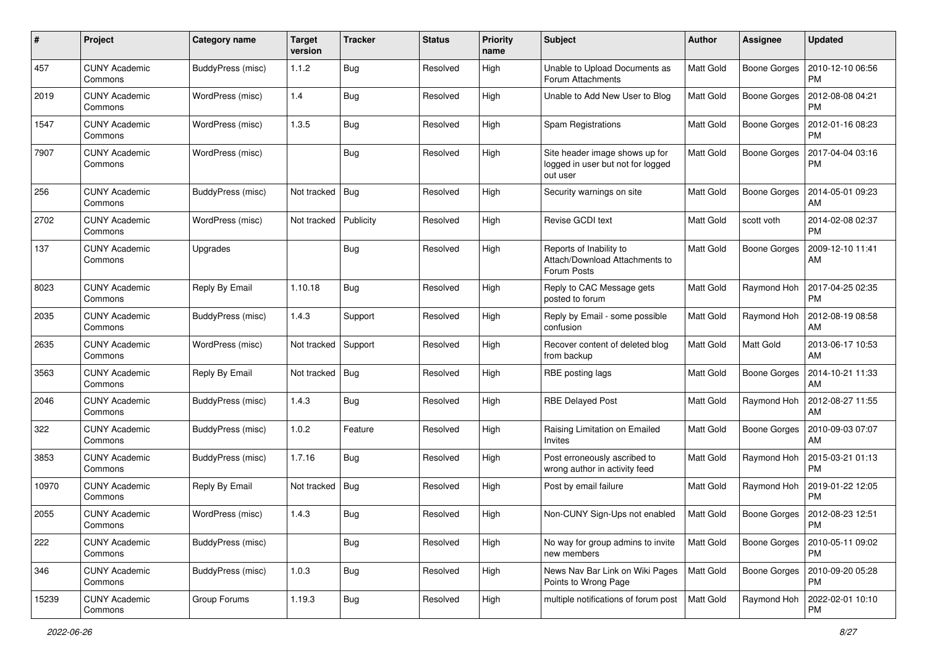| #     | Project                         | <b>Category name</b> | <b>Target</b><br>version | <b>Tracker</b> | <b>Status</b> | <b>Priority</b><br>name | Subject                                                                         | <b>Author</b>    | Assignee            | <b>Updated</b>                |
|-------|---------------------------------|----------------------|--------------------------|----------------|---------------|-------------------------|---------------------------------------------------------------------------------|------------------|---------------------|-------------------------------|
| 457   | <b>CUNY Academic</b><br>Commons | BuddyPress (misc)    | 1.1.2                    | Bug            | Resolved      | High                    | Unable to Upload Documents as<br>Forum Attachments                              | <b>Matt Gold</b> | <b>Boone Gorges</b> | 2010-12-10 06:56<br>PM        |
| 2019  | <b>CUNY Academic</b><br>Commons | WordPress (misc)     | 1.4                      | Bug            | Resolved      | High                    | Unable to Add New User to Blog                                                  | Matt Gold        | <b>Boone Gorges</b> | 2012-08-08 04:21<br><b>PM</b> |
| 1547  | CUNY Academic<br>Commons        | WordPress (misc)     | 1.3.5                    | Bug            | Resolved      | High                    | Spam Registrations                                                              | Matt Gold        | <b>Boone Gorges</b> | 2012-01-16 08:23<br>PM        |
| 7907  | <b>CUNY Academic</b><br>Commons | WordPress (misc)     |                          | Bug            | Resolved      | High                    | Site header image shows up for<br>logged in user but not for logged<br>out user | <b>Matt Gold</b> | <b>Boone Gorges</b> | 2017-04-04 03:16<br>PM        |
| 256   | <b>CUNY Academic</b><br>Commons | BuddyPress (misc)    | Not tracked              | <b>Bug</b>     | Resolved      | High                    | Security warnings on site                                                       | Matt Gold        | <b>Boone Gorges</b> | 2014-05-01 09:23<br>AM        |
| 2702  | <b>CUNY Academic</b><br>Commons | WordPress (misc)     | Not tracked              | Publicity      | Resolved      | High                    | Revise GCDI text                                                                | <b>Matt Gold</b> | scott voth          | 2014-02-08 02:37<br><b>PM</b> |
| 137   | <b>CUNY Academic</b><br>Commons | Upgrades             |                          | Bug            | Resolved      | High                    | Reports of Inability to<br>Attach/Download Attachments to<br>Forum Posts        | Matt Gold        | Boone Gorges        | 2009-12-10 11:41<br>AM        |
| 8023  | <b>CUNY Academic</b><br>Commons | Reply By Email       | 1.10.18                  | Bug            | Resolved      | High                    | Reply to CAC Message gets<br>posted to forum                                    | Matt Gold        | Raymond Hoh         | 2017-04-25 02:35<br><b>PM</b> |
| 2035  | <b>CUNY Academic</b><br>Commons | BuddyPress (misc)    | 1.4.3                    | Support        | Resolved      | High                    | Reply by Email - some possible<br>confusion                                     | Matt Gold        | Raymond Hoh         | 2012-08-19 08:58<br>AM        |
| 2635  | <b>CUNY Academic</b><br>Commons | WordPress (misc)     | Not tracked              | Support        | Resolved      | High                    | Recover content of deleted blog<br>from backup                                  | <b>Matt Gold</b> | Matt Gold           | 2013-06-17 10:53<br>AM        |
| 3563  | CUNY Academic<br>Commons        | Reply By Email       | Not tracked              | Bug            | Resolved      | High                    | RBE posting lags                                                                | Matt Gold        | <b>Boone Gorges</b> | 2014-10-21 11:33<br>AM        |
| 2046  | <b>CUNY Academic</b><br>Commons | BuddyPress (misc)    | 1.4.3                    | Bug            | Resolved      | High                    | <b>RBE Delayed Post</b>                                                         | Matt Gold        | Raymond Hoh         | 2012-08-27 11:55<br>AM        |
| 322   | <b>CUNY Academic</b><br>Commons | BuddyPress (misc)    | 1.0.2                    | Feature        | Resolved      | High                    | Raising Limitation on Emailed<br>Invites                                        | Matt Gold        | <b>Boone Gorges</b> | 2010-09-03 07:07<br>AM        |
| 3853  | <b>CUNY Academic</b><br>Commons | BuddyPress (misc)    | 1.7.16                   | Bug            | Resolved      | High                    | Post erroneously ascribed to<br>wrong author in activity feed                   | Matt Gold        | Raymond Hoh         | 2015-03-21 01:13<br><b>PM</b> |
| 10970 | <b>CUNY Academic</b><br>Commons | Reply By Email       | Not tracked              | Bug            | Resolved      | High                    | Post by email failure                                                           | Matt Gold        | Raymond Hoh         | 2019-01-22 12:05<br><b>PM</b> |
| 2055  | CUNY Academic<br>Commons        | WordPress (misc)     | 1.4.3                    | Bug            | Resolved      | High                    | Non-CUNY Sign-Ups not enabled                                                   | Matt Gold        | <b>Boone Gorges</b> | 2012-08-23 12:51<br>PM        |
| 222   | <b>CUNY Academic</b><br>Commons | BuddyPress (misc)    |                          | Bug            | Resolved      | High                    | No way for group admins to invite<br>new members                                | Matt Gold        | <b>Boone Gorges</b> | 2010-05-11 09:02<br><b>PM</b> |
| 346   | <b>CUNY Academic</b><br>Commons | BuddyPress (misc)    | 1.0.3                    | <b>Bug</b>     | Resolved      | High                    | News Nav Bar Link on Wiki Pages<br>Points to Wrong Page                         | Matt Gold        | <b>Boone Gorges</b> | 2010-09-20 05:28<br><b>PM</b> |
| 15239 | <b>CUNY Academic</b><br>Commons | Group Forums         | 1.19.3                   | <b>Bug</b>     | Resolved      | High                    | multiple notifications of forum post                                            | Matt Gold        | Raymond Hoh         | 2022-02-01 10:10<br>PM        |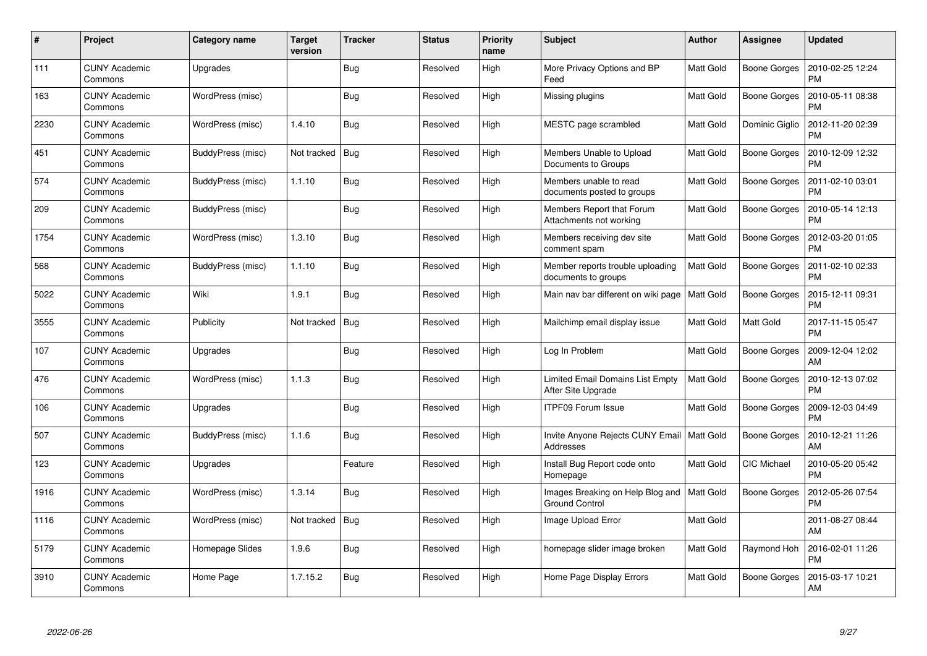| #    | Project                         | <b>Category name</b> | <b>Target</b><br>version | <b>Tracker</b> | <b>Status</b> | <b>Priority</b><br>name | <b>Subject</b>                                            | <b>Author</b>    | <b>Assignee</b>     | <b>Updated</b>                |
|------|---------------------------------|----------------------|--------------------------|----------------|---------------|-------------------------|-----------------------------------------------------------|------------------|---------------------|-------------------------------|
| 111  | <b>CUNY Academic</b><br>Commons | Upgrades             |                          | Bug            | Resolved      | High                    | More Privacy Options and BP<br>Feed                       | <b>Matt Gold</b> | Boone Gorges        | 2010-02-25 12:24<br><b>PM</b> |
| 163  | <b>CUNY Academic</b><br>Commons | WordPress (misc)     |                          | <b>Bug</b>     | Resolved      | High                    | Missing plugins                                           | <b>Matt Gold</b> | <b>Boone Gorges</b> | 2010-05-11 08:38<br><b>PM</b> |
| 2230 | <b>CUNY Academic</b><br>Commons | WordPress (misc)     | 1.4.10                   | <b>Bug</b>     | Resolved      | High                    | MESTC page scrambled                                      | <b>Matt Gold</b> | Dominic Giglio      | 2012-11-20 02:39<br><b>PM</b> |
| 451  | <b>CUNY Academic</b><br>Commons | BuddyPress (misc)    | Not tracked              | Bug            | Resolved      | High                    | Members Unable to Upload<br>Documents to Groups           | <b>Matt Gold</b> | Boone Gorges        | 2010-12-09 12:32<br><b>PM</b> |
| 574  | <b>CUNY Academic</b><br>Commons | BuddyPress (misc)    | 1.1.10                   | Bug            | Resolved      | High                    | Members unable to read<br>documents posted to groups      | <b>Matt Gold</b> | Boone Gorges        | 2011-02-10 03:01<br><b>PM</b> |
| 209  | <b>CUNY Academic</b><br>Commons | BuddyPress (misc)    |                          | Bug            | Resolved      | High                    | Members Report that Forum<br>Attachments not working      | <b>Matt Gold</b> | <b>Boone Gorges</b> | 2010-05-14 12:13<br><b>PM</b> |
| 1754 | <b>CUNY Academic</b><br>Commons | WordPress (misc)     | 1.3.10                   | <b>Bug</b>     | Resolved      | High                    | Members receiving dev site<br>comment spam                | <b>Matt Gold</b> | Boone Gorges        | 2012-03-20 01:05<br><b>PM</b> |
| 568  | <b>CUNY Academic</b><br>Commons | BuddyPress (misc)    | 1.1.10                   | <b>Bug</b>     | Resolved      | High                    | Member reports trouble uploading<br>documents to groups   | Matt Gold        | <b>Boone Gorges</b> | 2011-02-10 02:33<br><b>PM</b> |
| 5022 | <b>CUNY Academic</b><br>Commons | Wiki                 | 1.9.1                    | Bug            | Resolved      | High                    | Main nav bar different on wiki page                       | <b>Matt Gold</b> | Boone Gorges        | 2015-12-11 09:31<br><b>PM</b> |
| 3555 | <b>CUNY Academic</b><br>Commons | Publicity            | Not tracked              | Bug            | Resolved      | High                    | Mailchimp email display issue                             | <b>Matt Gold</b> | Matt Gold           | 2017-11-15 05:47<br><b>PM</b> |
| 107  | <b>CUNY Academic</b><br>Commons | Upgrades             |                          | <b>Bug</b>     | Resolved      | High                    | Log In Problem                                            | <b>Matt Gold</b> | <b>Boone Gorges</b> | 2009-12-04 12:02<br>AM        |
| 476  | <b>CUNY Academic</b><br>Commons | WordPress (misc)     | 1.1.3                    | Bug            | Resolved      | High                    | Limited Email Domains List Empty<br>After Site Upgrade    | Matt Gold        | Boone Gorges        | 2010-12-13 07:02<br>PM        |
| 106  | <b>CUNY Academic</b><br>Commons | Upgrades             |                          | Bug            | Resolved      | High                    | <b>ITPF09 Forum Issue</b>                                 | Matt Gold        | Boone Gorges        | 2009-12-03 04:49<br><b>PM</b> |
| 507  | <b>CUNY Academic</b><br>Commons | BuddyPress (misc)    | 1.1.6                    | Bug            | Resolved      | High                    | Invite Anyone Rejects CUNY Email<br>Addresses             | Matt Gold        | Boone Gorges        | 2010-12-21 11:26<br>AM        |
| 123  | <b>CUNY Academic</b><br>Commons | Upgrades             |                          | Feature        | Resolved      | High                    | Install Bug Report code onto<br>Homepage                  | <b>Matt Gold</b> | CIC Michael         | 2010-05-20 05:42<br><b>PM</b> |
| 1916 | <b>CUNY Academic</b><br>Commons | WordPress (misc)     | 1.3.14                   | Bug            | Resolved      | High                    | Images Breaking on Help Blog and<br><b>Ground Control</b> | Matt Gold        | Boone Gorges        | 2012-05-26 07:54<br><b>PM</b> |
| 1116 | <b>CUNY Academic</b><br>Commons | WordPress (misc)     | Not tracked              | Bug            | Resolved      | High                    | Image Upload Error                                        | Matt Gold        |                     | 2011-08-27 08:44<br>AM        |
| 5179 | <b>CUNY Academic</b><br>Commons | Homepage Slides      | 1.9.6                    | <b>Bug</b>     | Resolved      | High                    | homepage slider image broken                              | <b>Matt Gold</b> | Raymond Hoh         | 2016-02-01 11:26<br><b>PM</b> |
| 3910 | <b>CUNY Academic</b><br>Commons | Home Page            | 1.7.15.2                 | Bug            | Resolved      | High                    | Home Page Display Errors                                  | Matt Gold        | Boone Gorges        | 2015-03-17 10:21<br>AM        |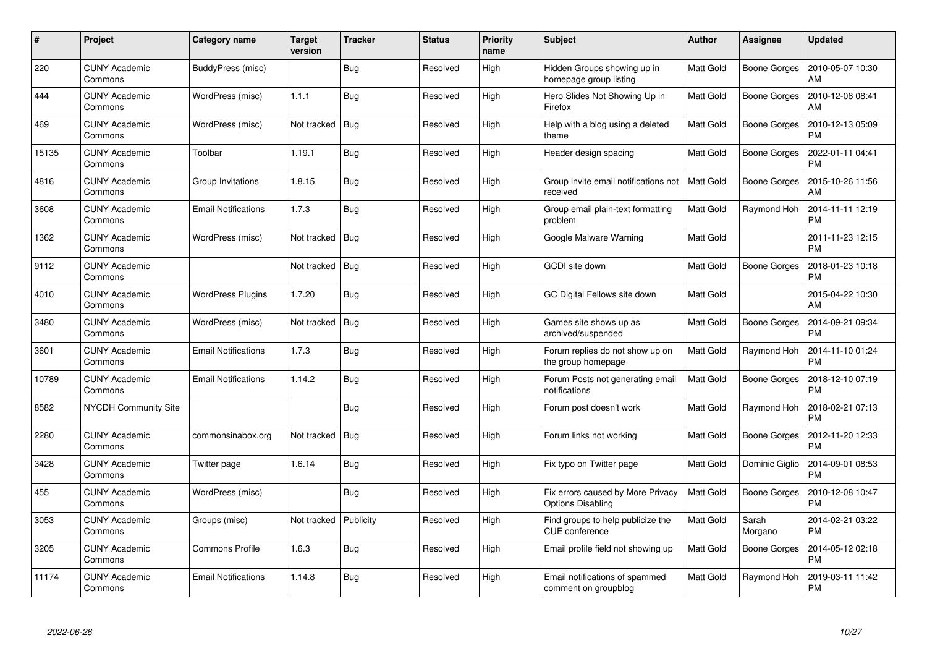| #     | <b>Project</b>                  | Category name              | <b>Target</b><br>version | <b>Tracker</b> | <b>Status</b> | <b>Priority</b><br>name | <b>Subject</b>                                                | <b>Author</b>    | Assignee            | <b>Updated</b>                |
|-------|---------------------------------|----------------------------|--------------------------|----------------|---------------|-------------------------|---------------------------------------------------------------|------------------|---------------------|-------------------------------|
| 220   | <b>CUNY Academic</b><br>Commons | BuddyPress (misc)          |                          | <b>Bug</b>     | Resolved      | High                    | Hidden Groups showing up in<br>homepage group listing         | <b>Matt Gold</b> | <b>Boone Gorges</b> | 2010-05-07 10:30<br>AM        |
| 444   | <b>CUNY Academic</b><br>Commons | WordPress (misc)           | 1.1.1                    | Bug            | Resolved      | High                    | Hero Slides Not Showing Up in<br>Firefox                      | <b>Matt Gold</b> | <b>Boone Gorges</b> | 2010-12-08 08:41<br>AM        |
| 469   | <b>CUNY Academic</b><br>Commons | WordPress (misc)           | Not tracked              | Bug            | Resolved      | High                    | Help with a blog using a deleted<br>theme                     | <b>Matt Gold</b> | <b>Boone Gorges</b> | 2010-12-13 05:09<br><b>PM</b> |
| 15135 | <b>CUNY Academic</b><br>Commons | Toolbar                    | 1.19.1                   | <b>Bug</b>     | Resolved      | High                    | Header design spacing                                         | <b>Matt Gold</b> | Boone Gorges        | 2022-01-11 04:41<br><b>PM</b> |
| 4816  | <b>CUNY Academic</b><br>Commons | Group Invitations          | 1.8.15                   | Bug            | Resolved      | High                    | Group invite email notifications not<br>received              | Matt Gold        | <b>Boone Gorges</b> | 2015-10-26 11:56<br>AM        |
| 3608  | <b>CUNY Academic</b><br>Commons | <b>Email Notifications</b> | 1.7.3                    | Bug            | Resolved      | High                    | Group email plain-text formatting<br>problem                  | <b>Matt Gold</b> | Raymond Hoh         | 2014-11-11 12:19<br><b>PM</b> |
| 1362  | <b>CUNY Academic</b><br>Commons | WordPress (misc)           | Not tracked              | Bug            | Resolved      | High                    | Google Malware Warning                                        | Matt Gold        |                     | 2011-11-23 12:15<br><b>PM</b> |
| 9112  | <b>CUNY Academic</b><br>Commons |                            | Not tracked              | Bug            | Resolved      | High                    | GCDI site down                                                | <b>Matt Gold</b> | Boone Gorges        | 2018-01-23 10:18<br><b>PM</b> |
| 4010  | <b>CUNY Academic</b><br>Commons | <b>WordPress Plugins</b>   | 1.7.20                   | Bug            | Resolved      | High                    | GC Digital Fellows site down                                  | Matt Gold        |                     | 2015-04-22 10:30<br>AM        |
| 3480  | <b>CUNY Academic</b><br>Commons | WordPress (misc)           | Not tracked              | Bug            | Resolved      | High                    | Games site shows up as<br>archived/suspended                  | <b>Matt Gold</b> | Boone Gorges        | 2014-09-21 09:34<br><b>PM</b> |
| 3601  | <b>CUNY Academic</b><br>Commons | <b>Email Notifications</b> | 1.7.3                    | Bug            | Resolved      | High                    | Forum replies do not show up on<br>the group homepage         | <b>Matt Gold</b> | Raymond Hoh         | 2014-11-10 01:24<br><b>PM</b> |
| 10789 | <b>CUNY Academic</b><br>Commons | <b>Email Notifications</b> | 1.14.2                   | <b>Bug</b>     | Resolved      | High                    | Forum Posts not generating email<br>notifications             | Matt Gold        | Boone Gorges        | 2018-12-10 07:19<br><b>PM</b> |
| 8582  | <b>NYCDH Community Site</b>     |                            |                          | Bug            | Resolved      | High                    | Forum post doesn't work                                       | <b>Matt Gold</b> | Raymond Hoh         | 2018-02-21 07:13<br><b>PM</b> |
| 2280  | <b>CUNY Academic</b><br>Commons | commonsinabox.org          | Not tracked              | Bug            | Resolved      | High                    | Forum links not working                                       | Matt Gold        | Boone Gorges        | 2012-11-20 12:33<br><b>PM</b> |
| 3428  | <b>CUNY Academic</b><br>Commons | Twitter page               | 1.6.14                   | <b>Bug</b>     | Resolved      | High                    | Fix typo on Twitter page                                      | <b>Matt Gold</b> | Dominic Giglio      | 2014-09-01 08:53<br><b>PM</b> |
| 455   | <b>CUNY Academic</b><br>Commons | WordPress (misc)           |                          | Bug            | Resolved      | High                    | Fix errors caused by More Privacy<br><b>Options Disabling</b> | <b>Matt Gold</b> | <b>Boone Gorges</b> | 2010-12-08 10:47<br><b>PM</b> |
| 3053  | <b>CUNY Academic</b><br>Commons | Groups (misc)              | Not tracked              | Publicity      | Resolved      | High                    | Find groups to help publicize the<br><b>CUE</b> conference    | <b>Matt Gold</b> | Sarah<br>Morgano    | 2014-02-21 03:22<br><b>PM</b> |
| 3205  | <b>CUNY Academic</b><br>Commons | <b>Commons Profile</b>     | 1.6.3                    | Bug            | Resolved      | High                    | Email profile field not showing up                            | Matt Gold        | <b>Boone Gorges</b> | 2014-05-12 02:18<br><b>PM</b> |
| 11174 | <b>CUNY Academic</b><br>Commons | <b>Email Notifications</b> | 1.14.8                   | <b>Bug</b>     | Resolved      | High                    | Email notifications of spammed<br>comment on groupblog        | <b>Matt Gold</b> | Raymond Hoh         | 2019-03-11 11:42<br><b>PM</b> |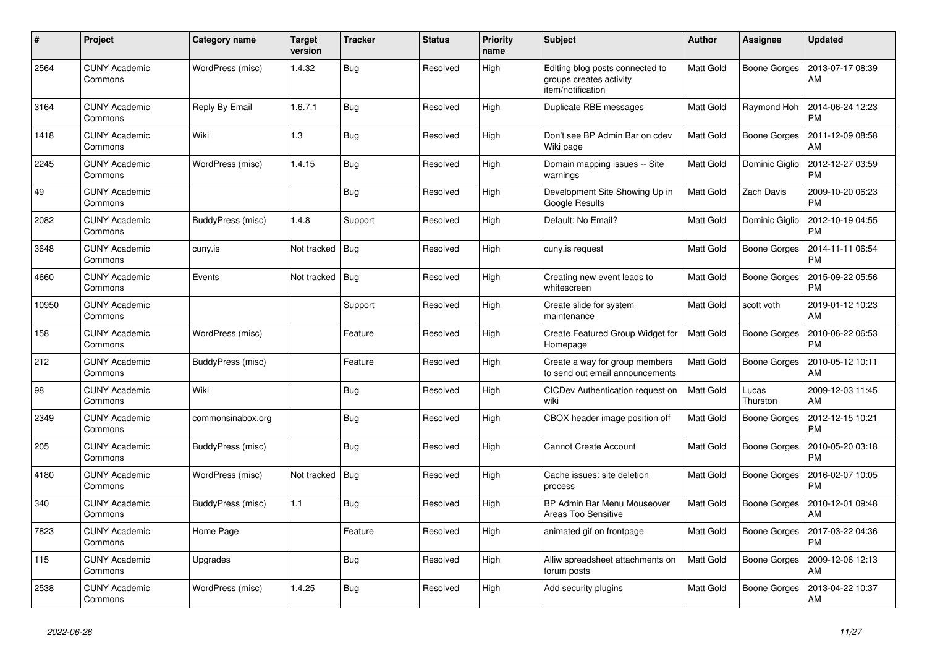| $\#$  | Project                         | Category name     | <b>Target</b><br>version | <b>Tracker</b> | <b>Status</b> | <b>Priority</b><br>name | <b>Subject</b>                                                                  | Author           | <b>Assignee</b>     | <b>Updated</b>                |
|-------|---------------------------------|-------------------|--------------------------|----------------|---------------|-------------------------|---------------------------------------------------------------------------------|------------------|---------------------|-------------------------------|
| 2564  | <b>CUNY Academic</b><br>Commons | WordPress (misc)  | 1.4.32                   | <b>Bug</b>     | Resolved      | High                    | Editing blog posts connected to<br>groups creates activity<br>item/notification | <b>Matt Gold</b> | <b>Boone Gorges</b> | 2013-07-17 08:39<br>AM        |
| 3164  | <b>CUNY Academic</b><br>Commons | Reply By Email    | 1.6.7.1                  | <b>Bug</b>     | Resolved      | High                    | Duplicate RBE messages                                                          | Matt Gold        | Raymond Hoh         | 2014-06-24 12:23<br><b>PM</b> |
| 1418  | <b>CUNY Academic</b><br>Commons | Wiki              | 1.3                      | Bug            | Resolved      | High                    | Don't see BP Admin Bar on cdev<br>Wiki page                                     | Matt Gold        | <b>Boone Gorges</b> | 2011-12-09 08:58<br>AM        |
| 2245  | <b>CUNY Academic</b><br>Commons | WordPress (misc)  | 1.4.15                   | <b>Bug</b>     | Resolved      | High                    | Domain mapping issues -- Site<br>warnings                                       | Matt Gold        | Dominic Giglio      | 2012-12-27 03:59<br><b>PM</b> |
| 49    | <b>CUNY Academic</b><br>Commons |                   |                          | <b>Bug</b>     | Resolved      | High                    | Development Site Showing Up in<br>Google Results                                | Matt Gold        | Zach Davis          | 2009-10-20 06:23<br><b>PM</b> |
| 2082  | <b>CUNY Academic</b><br>Commons | BuddyPress (misc) | 1.4.8                    | Support        | Resolved      | High                    | Default: No Email?                                                              | Matt Gold        | Dominic Giglio      | 2012-10-19 04:55<br><b>PM</b> |
| 3648  | <b>CUNY Academic</b><br>Commons | cuny.is           | Not tracked              | <b>Bug</b>     | Resolved      | High                    | cuny.is request                                                                 | Matt Gold        | <b>Boone Gorges</b> | 2014-11-11 06:54<br><b>PM</b> |
| 4660  | <b>CUNY Academic</b><br>Commons | Events            | Not tracked              | Bug            | Resolved      | High                    | Creating new event leads to<br>whitescreen                                      | Matt Gold        | <b>Boone Gorges</b> | 2015-09-22 05:56<br><b>PM</b> |
| 10950 | <b>CUNY Academic</b><br>Commons |                   |                          | Support        | Resolved      | High                    | Create slide for system<br>maintenance                                          | Matt Gold        | scott voth          | 2019-01-12 10:23<br>AM        |
| 158   | <b>CUNY Academic</b><br>Commons | WordPress (misc)  |                          | Feature        | Resolved      | High                    | Create Featured Group Widget for<br>Homepage                                    | <b>Matt Gold</b> | <b>Boone Gorges</b> | 2010-06-22 06:53<br><b>PM</b> |
| 212   | <b>CUNY Academic</b><br>Commons | BuddyPress (misc) |                          | Feature        | Resolved      | High                    | Create a way for group members<br>to send out email announcements               | Matt Gold        | Boone Gorges        | 2010-05-12 10:11<br>AM        |
| 98    | <b>CUNY Academic</b><br>Commons | Wiki              |                          | <b>Bug</b>     | Resolved      | High                    | CICDev Authentication request on<br>wiki                                        | Matt Gold        | Lucas<br>Thurston   | 2009-12-03 11:45<br>AM        |
| 2349  | <b>CUNY Academic</b><br>Commons | commonsinabox.org |                          | <b>Bug</b>     | Resolved      | High                    | CBOX header image position off                                                  | Matt Gold        | <b>Boone Gorges</b> | 2012-12-15 10:21<br><b>PM</b> |
| 205   | <b>CUNY Academic</b><br>Commons | BuddyPress (misc) |                          | <b>Bug</b>     | Resolved      | High                    | <b>Cannot Create Account</b>                                                    | Matt Gold        | Boone Gorges        | 2010-05-20 03:18<br><b>PM</b> |
| 4180  | <b>CUNY Academic</b><br>Commons | WordPress (misc)  | Not tracked              | Bug            | Resolved      | High                    | Cache issues: site deletion<br>process                                          | Matt Gold        | <b>Boone Gorges</b> | 2016-02-07 10:05<br><b>PM</b> |
| 340   | <b>CUNY Academic</b><br>Commons | BuddyPress (misc) | 1.1                      | <b>Bug</b>     | Resolved      | High                    | BP Admin Bar Menu Mouseover<br>Areas Too Sensitive                              | <b>Matt Gold</b> | <b>Boone Gorges</b> | 2010-12-01 09:48<br>AM        |
| 7823  | <b>CUNY Academic</b><br>Commons | Home Page         |                          | Feature        | Resolved      | High                    | animated gif on frontpage                                                       | Matt Gold        | Boone Gorges        | 2017-03-22 04:36<br><b>PM</b> |
| 115   | <b>CUNY Academic</b><br>Commons | Upgrades          |                          | <b>Bug</b>     | Resolved      | High                    | Alliw spreadsheet attachments on<br>forum posts                                 | Matt Gold        | <b>Boone Gorges</b> | 2009-12-06 12:13<br>AM        |
| 2538  | <b>CUNY Academic</b><br>Commons | WordPress (misc)  | 1.4.25                   | <b>Bug</b>     | Resolved      | High                    | Add security plugins                                                            | Matt Gold        | Boone Gorges        | 2013-04-22 10:37<br>AM        |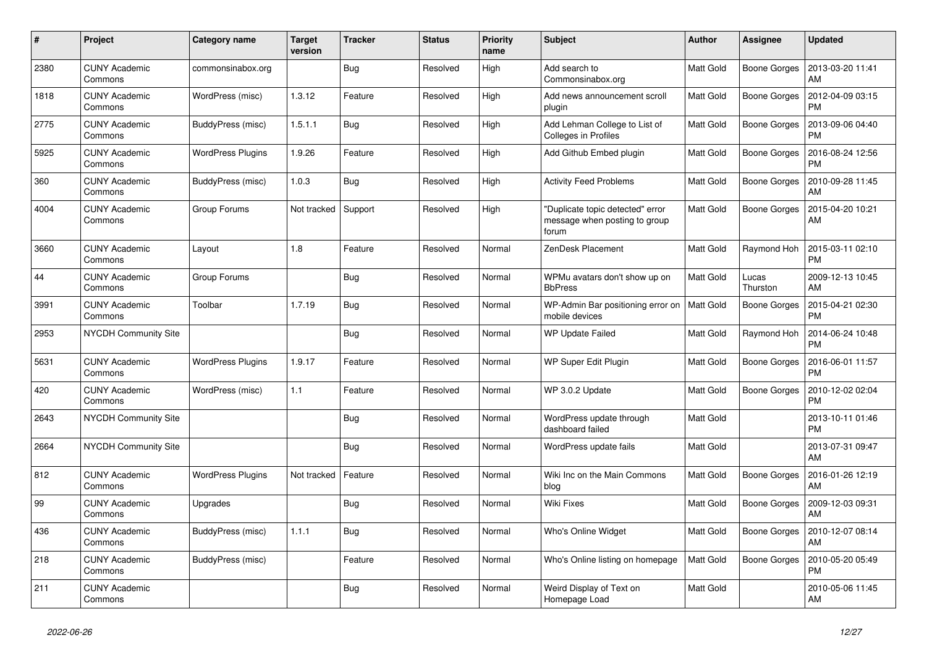| $\#$ | Project                         | Category name            | <b>Target</b><br>version | <b>Tracker</b> | <b>Status</b> | <b>Priority</b><br>name | <b>Subject</b>                                                             | Author           | <b>Assignee</b>     | <b>Updated</b>                |
|------|---------------------------------|--------------------------|--------------------------|----------------|---------------|-------------------------|----------------------------------------------------------------------------|------------------|---------------------|-------------------------------|
| 2380 | <b>CUNY Academic</b><br>Commons | commonsinabox.org        |                          | <b>Bug</b>     | Resolved      | High                    | Add search to<br>Commonsinabox.org                                         | <b>Matt Gold</b> | <b>Boone Gorges</b> | 2013-03-20 11:41<br>AM        |
| 1818 | <b>CUNY Academic</b><br>Commons | WordPress (misc)         | 1.3.12                   | Feature        | Resolved      | High                    | Add news announcement scroll<br>plugin                                     | Matt Gold        | <b>Boone Gorges</b> | 2012-04-09 03:15<br><b>PM</b> |
| 2775 | <b>CUNY Academic</b><br>Commons | BuddyPress (misc)        | 1.5.1.1                  | Bug            | Resolved      | High                    | Add Lehman College to List of<br>Colleges in Profiles                      | Matt Gold        | Boone Gorges        | 2013-09-06 04:40<br><b>PM</b> |
| 5925 | <b>CUNY Academic</b><br>Commons | <b>WordPress Plugins</b> | 1.9.26                   | Feature        | Resolved      | High                    | Add Github Embed plugin                                                    | Matt Gold        | <b>Boone Gorges</b> | 2016-08-24 12:56<br><b>PM</b> |
| 360  | <b>CUNY Academic</b><br>Commons | BuddyPress (misc)        | 1.0.3                    | Bug            | Resolved      | High                    | <b>Activity Feed Problems</b>                                              | Matt Gold        | <b>Boone Gorges</b> | 2010-09-28 11:45<br>AM        |
| 4004 | <b>CUNY Academic</b><br>Commons | Group Forums             | Not tracked              | Support        | Resolved      | High                    | "Duplicate topic detected" error<br>message when posting to group<br>forum | Matt Gold        | Boone Gorges        | 2015-04-20 10:21<br>AM        |
| 3660 | <b>CUNY Academic</b><br>Commons | Layout                   | 1.8                      | Feature        | Resolved      | Normal                  | ZenDesk Placement                                                          | Matt Gold        | Raymond Hoh         | 2015-03-11 02:10<br><b>PM</b> |
| 44   | <b>CUNY Academic</b><br>Commons | Group Forums             |                          | <b>Bug</b>     | Resolved      | Normal                  | WPMu avatars don't show up on<br><b>BbPress</b>                            | Matt Gold        | Lucas<br>Thurston   | 2009-12-13 10:45<br>AM        |
| 3991 | <b>CUNY Academic</b><br>Commons | Toolbar                  | 1.7.19                   | Bug            | Resolved      | Normal                  | WP-Admin Bar positioning error on<br>mobile devices                        | <b>Matt Gold</b> | <b>Boone Gorges</b> | 2015-04-21 02:30<br><b>PM</b> |
| 2953 | <b>NYCDH Community Site</b>     |                          |                          | <b>Bug</b>     | Resolved      | Normal                  | <b>WP Update Failed</b>                                                    | Matt Gold        | Raymond Hoh         | 2014-06-24 10:48<br><b>PM</b> |
| 5631 | <b>CUNY Academic</b><br>Commons | <b>WordPress Plugins</b> | 1.9.17                   | Feature        | Resolved      | Normal                  | WP Super Edit Plugin                                                       | Matt Gold        | Boone Gorges        | 2016-06-01 11:57<br><b>PM</b> |
| 420  | <b>CUNY Academic</b><br>Commons | WordPress (misc)         | 1.1                      | Feature        | Resolved      | Normal                  | WP 3.0.2 Update                                                            | Matt Gold        | Boone Gorges        | 2010-12-02 02:04<br><b>PM</b> |
| 2643 | NYCDH Community Site            |                          |                          | <b>Bug</b>     | Resolved      | Normal                  | WordPress update through<br>dashboard failed                               | Matt Gold        |                     | 2013-10-11 01:46<br><b>PM</b> |
| 2664 | NYCDH Community Site            |                          |                          | <b>Bug</b>     | Resolved      | Normal                  | WordPress update fails                                                     | Matt Gold        |                     | 2013-07-31 09:47<br>AM        |
| 812  | <b>CUNY Academic</b><br>Commons | <b>WordPress Plugins</b> | Not tracked              | Feature        | Resolved      | Normal                  | Wiki Inc on the Main Commons<br>blog                                       | Matt Gold        | <b>Boone Gorges</b> | 2016-01-26 12:19<br>AM        |
| 99   | <b>CUNY Academic</b><br>Commons | Upgrades                 |                          | <b>Bug</b>     | Resolved      | Normal                  | <b>Wiki Fixes</b>                                                          | Matt Gold        | <b>Boone Gorges</b> | 2009-12-03 09:31<br>AM        |
| 436  | <b>CUNY Academic</b><br>Commons | BuddyPress (misc)        | 1.1.1                    | Bug            | Resolved      | Normal                  | Who's Online Widget                                                        | <b>Matt Gold</b> | Boone Gorges        | 2010-12-07 08:14<br>AM        |
| 218  | <b>CUNY Academic</b><br>Commons | BuddyPress (misc)        |                          | Feature        | Resolved      | Normal                  | Who's Online listing on homepage                                           | Matt Gold        | <b>Boone Gorges</b> | 2010-05-20 05:49<br><b>PM</b> |
| 211  | <b>CUNY Academic</b><br>Commons |                          |                          | <b>Bug</b>     | Resolved      | Normal                  | Weird Display of Text on<br>Homepage Load                                  | Matt Gold        |                     | 2010-05-06 11:45<br>AM        |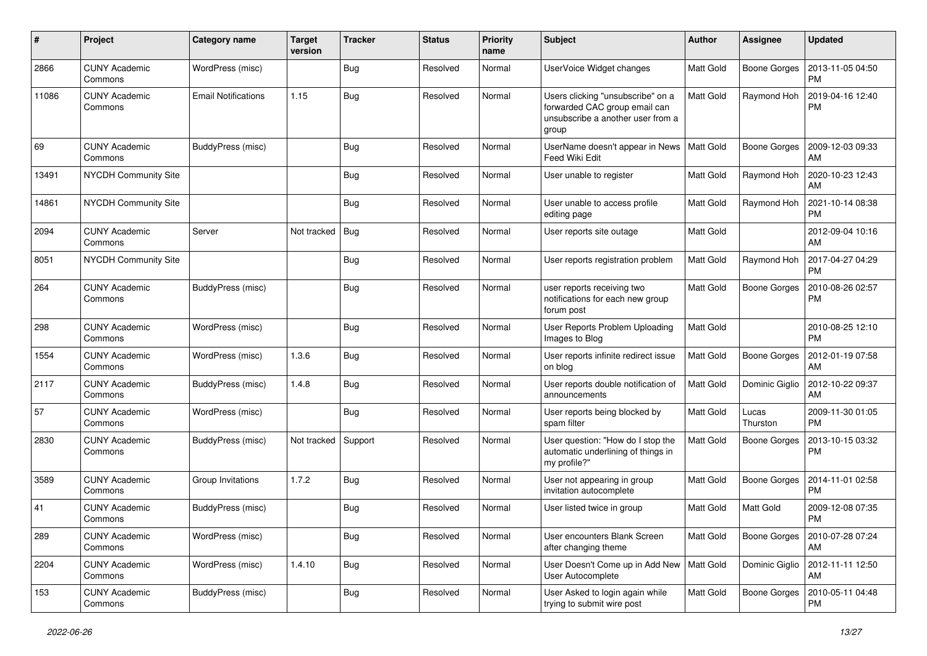| #     | Project                         | <b>Category name</b>       | <b>Target</b><br>version | <b>Tracker</b> | <b>Status</b> | <b>Priority</b><br>name | <b>Subject</b>                                                                                                   | Author           | <b>Assignee</b>     | <b>Updated</b>                |
|-------|---------------------------------|----------------------------|--------------------------|----------------|---------------|-------------------------|------------------------------------------------------------------------------------------------------------------|------------------|---------------------|-------------------------------|
| 2866  | <b>CUNY Academic</b><br>Commons | WordPress (misc)           |                          | Bug            | Resolved      | Normal                  | UserVoice Widget changes                                                                                         | Matt Gold        | <b>Boone Gorges</b> | 2013-11-05 04:50<br><b>PM</b> |
| 11086 | <b>CUNY Academic</b><br>Commons | <b>Email Notifications</b> | 1.15                     | <b>Bug</b>     | Resolved      | Normal                  | Users clicking "unsubscribe" on a<br>forwarded CAC group email can<br>unsubscribe a another user from a<br>group | Matt Gold        | Raymond Hoh         | 2019-04-16 12:40<br><b>PM</b> |
| 69    | <b>CUNY Academic</b><br>Commons | BuddyPress (misc)          |                          | Bug            | Resolved      | Normal                  | UserName doesn't appear in News<br>Feed Wiki Edit                                                                | Matt Gold        | <b>Boone Gorges</b> | 2009-12-03 09:33<br>AM        |
| 13491 | NYCDH Community Site            |                            |                          | Bug            | Resolved      | Normal                  | User unable to register                                                                                          | <b>Matt Gold</b> | Raymond Hoh         | 2020-10-23 12:43<br>AM        |
| 14861 | NYCDH Community Site            |                            |                          | Bug            | Resolved      | Normal                  | User unable to access profile<br>editing page                                                                    | <b>Matt Gold</b> | Raymond Hoh         | 2021-10-14 08:38<br><b>PM</b> |
| 2094  | <b>CUNY Academic</b><br>Commons | Server                     | Not tracked              | <b>Bug</b>     | Resolved      | Normal                  | User reports site outage                                                                                         | Matt Gold        |                     | 2012-09-04 10:16<br>AM        |
| 8051  | NYCDH Community Site            |                            |                          | Bug            | Resolved      | Normal                  | User reports registration problem                                                                                | <b>Matt Gold</b> | Raymond Hoh         | 2017-04-27 04:29<br><b>PM</b> |
| 264   | <b>CUNY Academic</b><br>Commons | BuddyPress (misc)          |                          | Bug            | Resolved      | Normal                  | user reports receiving two<br>notifications for each new group<br>forum post                                     | Matt Gold        | <b>Boone Gorges</b> | 2010-08-26 02:57<br><b>PM</b> |
| 298   | <b>CUNY Academic</b><br>Commons | WordPress (misc)           |                          | Bug            | Resolved      | Normal                  | User Reports Problem Uploading<br>Images to Blog                                                                 | Matt Gold        |                     | 2010-08-25 12:10<br><b>PM</b> |
| 1554  | <b>CUNY Academic</b><br>Commons | WordPress (misc)           | 1.3.6                    | Bug            | Resolved      | Normal                  | User reports infinite redirect issue<br>on blog                                                                  | Matt Gold        | <b>Boone Gorges</b> | 2012-01-19 07:58<br>AM        |
| 2117  | <b>CUNY Academic</b><br>Commons | BuddyPress (misc)          | 1.4.8                    | Bug            | Resolved      | Normal                  | User reports double notification of<br>announcements                                                             | Matt Gold        | Dominic Giglio      | 2012-10-22 09:37<br>AM        |
| 57    | <b>CUNY Academic</b><br>Commons | WordPress (misc)           |                          | <b>Bug</b>     | Resolved      | Normal                  | User reports being blocked by<br>spam filter                                                                     | <b>Matt Gold</b> | Lucas<br>Thurston   | 2009-11-30 01:05<br><b>PM</b> |
| 2830  | <b>CUNY Academic</b><br>Commons | BuddyPress (misc)          | Not tracked              | Support        | Resolved      | Normal                  | User question: "How do I stop the<br>automatic underlining of things in<br>my profile?"                          | Matt Gold        | <b>Boone Gorges</b> | 2013-10-15 03:32<br><b>PM</b> |
| 3589  | <b>CUNY Academic</b><br>Commons | Group Invitations          | 1.7.2                    | Bug            | Resolved      | Normal                  | User not appearing in group<br>invitation autocomplete                                                           | Matt Gold        | <b>Boone Gorges</b> | 2014-11-01 02:58<br><b>PM</b> |
| 41    | CUNY Academic<br>Commons        | BuddyPress (misc)          |                          | Bug            | Resolved      | Normal                  | User listed twice in group                                                                                       | <b>Matt Gold</b> | Matt Gold           | 2009-12-08 07:35<br><b>PM</b> |
| 289   | <b>CUNY Academic</b><br>Commons | WordPress (misc)           |                          | <b>Bug</b>     | Resolved      | Normal                  | User encounters Blank Screen<br>after changing theme                                                             | Matt Gold        | <b>Boone Gorges</b> | 2010-07-28 07:24<br>AM        |
| 2204  | <b>CUNY Academic</b><br>Commons | WordPress (misc)           | 1.4.10                   | Bug            | Resolved      | Normal                  | User Doesn't Come up in Add New   Matt Gold<br>User Autocomplete                                                 |                  | Dominic Giglio      | 2012-11-11 12:50<br>AM        |
| 153   | <b>CUNY Academic</b><br>Commons | BuddyPress (misc)          |                          | <b>Bug</b>     | Resolved      | Normal                  | User Asked to login again while<br>trying to submit wire post                                                    | Matt Gold        | Boone Gorges        | 2010-05-11 04:48<br><b>PM</b> |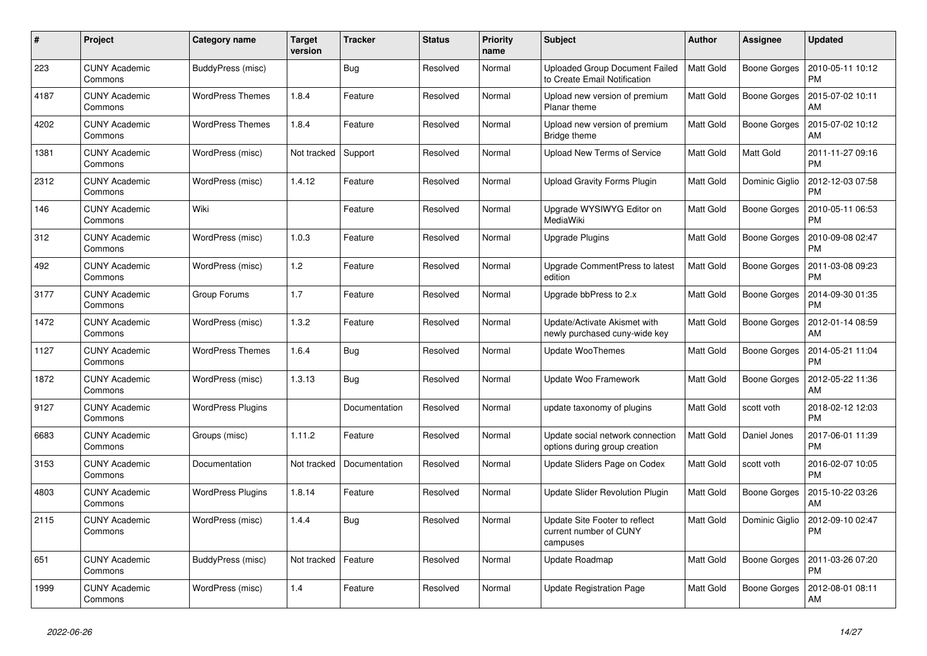| #    | Project                         | Category name            | <b>Target</b><br>version | <b>Tracker</b> | <b>Status</b> | <b>Priority</b><br>name | <b>Subject</b>                                                      | <b>Author</b>    | <b>Assignee</b>     | <b>Updated</b>                |
|------|---------------------------------|--------------------------|--------------------------|----------------|---------------|-------------------------|---------------------------------------------------------------------|------------------|---------------------|-------------------------------|
| 223  | <b>CUNY Academic</b><br>Commons | BuddyPress (misc)        |                          | Bug            | Resolved      | Normal                  | Uploaded Group Document Failed<br>to Create Email Notification      | <b>Matt Gold</b> | <b>Boone Gorges</b> | 2010-05-11 10:12<br><b>PM</b> |
| 4187 | <b>CUNY Academic</b><br>Commons | <b>WordPress Themes</b>  | 1.8.4                    | Feature        | Resolved      | Normal                  | Upload new version of premium<br>Planar theme                       | <b>Matt Gold</b> | <b>Boone Gorges</b> | 2015-07-02 10:11<br>AM        |
| 4202 | <b>CUNY Academic</b><br>Commons | <b>WordPress Themes</b>  | 1.8.4                    | Feature        | Resolved      | Normal                  | Upload new version of premium<br>Bridge theme                       | Matt Gold        | <b>Boone Gorges</b> | 2015-07-02 10:12<br>AM        |
| 1381 | <b>CUNY Academic</b><br>Commons | WordPress (misc)         | Not tracked              | Support        | Resolved      | Normal                  | <b>Upload New Terms of Service</b>                                  | <b>Matt Gold</b> | Matt Gold           | 2011-11-27 09:16<br><b>PM</b> |
| 2312 | <b>CUNY Academic</b><br>Commons | WordPress (misc)         | 1.4.12                   | Feature        | Resolved      | Normal                  | <b>Upload Gravity Forms Plugin</b>                                  | Matt Gold        | Dominic Giglio      | 2012-12-03 07:58<br>PM        |
| 146  | <b>CUNY Academic</b><br>Commons | Wiki                     |                          | Feature        | Resolved      | Normal                  | Upgrade WYSIWYG Editor on<br>MediaWiki                              | Matt Gold        | <b>Boone Gorges</b> | 2010-05-11 06:53<br><b>PM</b> |
| 312  | <b>CUNY Academic</b><br>Commons | WordPress (misc)         | 1.0.3                    | Feature        | Resolved      | Normal                  | Upgrade Plugins                                                     | <b>Matt Gold</b> | <b>Boone Gorges</b> | 2010-09-08 02:47<br><b>PM</b> |
| 492  | <b>CUNY Academic</b><br>Commons | WordPress (misc)         | 1.2                      | Feature        | Resolved      | Normal                  | Upgrade CommentPress to latest<br>edition                           | <b>Matt Gold</b> | Boone Gorges        | 2011-03-08 09:23<br>PM        |
| 3177 | <b>CUNY Academic</b><br>Commons | Group Forums             | 1.7                      | Feature        | Resolved      | Normal                  | Upgrade bbPress to 2.x                                              | Matt Gold        | <b>Boone Gorges</b> | 2014-09-30 01:35<br><b>PM</b> |
| 1472 | <b>CUNY Academic</b><br>Commons | WordPress (misc)         | 1.3.2                    | Feature        | Resolved      | Normal                  | Update/Activate Akismet with<br>newly purchased cuny-wide key       | Matt Gold        | Boone Gorges        | 2012-01-14 08:59<br>AM        |
| 1127 | <b>CUNY Academic</b><br>Commons | <b>WordPress Themes</b>  | 1.6.4                    | Bug            | Resolved      | Normal                  | Update WooThemes                                                    | <b>Matt Gold</b> | <b>Boone Gorges</b> | 2014-05-21 11:04<br>PM        |
| 1872 | <b>CUNY Academic</b><br>Commons | WordPress (misc)         | 1.3.13                   | <b>Bug</b>     | Resolved      | Normal                  | Update Woo Framework                                                | <b>Matt Gold</b> | <b>Boone Gorges</b> | 2012-05-22 11:36<br>AM        |
| 9127 | <b>CUNY Academic</b><br>Commons | <b>WordPress Plugins</b> |                          | Documentation  | Resolved      | Normal                  | update taxonomy of plugins                                          | Matt Gold        | scott voth          | 2018-02-12 12:03<br><b>PM</b> |
| 6683 | <b>CUNY Academic</b><br>Commons | Groups (misc)            | 1.11.2                   | Feature        | Resolved      | Normal                  | Update social network connection<br>options during group creation   | Matt Gold        | Daniel Jones        | 2017-06-01 11:39<br><b>PM</b> |
| 3153 | <b>CUNY Academic</b><br>Commons | Documentation            | Not tracked              | Documentation  | Resolved      | Normal                  | Update Sliders Page on Codex                                        | Matt Gold        | scott voth          | 2016-02-07 10:05<br><b>PM</b> |
| 4803 | <b>CUNY Academic</b><br>Commons | <b>WordPress Plugins</b> | 1.8.14                   | Feature        | Resolved      | Normal                  | Update Slider Revolution Plugin                                     | Matt Gold        | <b>Boone Gorges</b> | 2015-10-22 03:26<br>AM        |
| 2115 | <b>CUNY Academic</b><br>Commons | WordPress (misc)         | 1.4.4                    | <b>Bug</b>     | Resolved      | Normal                  | Update Site Footer to reflect<br>current number of CUNY<br>campuses | Matt Gold        | Dominic Giglio      | 2012-09-10 02:47<br>PM        |
| 651  | <b>CUNY Academic</b><br>Commons | BuddyPress (misc)        | Not tracked              | Feature        | Resolved      | Normal                  | Update Roadmap                                                      | Matt Gold        | <b>Boone Gorges</b> | 2011-03-26 07:20<br>PM        |
| 1999 | <b>CUNY Academic</b><br>Commons | WordPress (misc)         | 1.4                      | Feature        | Resolved      | Normal                  | Update Registration Page                                            | <b>Matt Gold</b> | <b>Boone Gorges</b> | 2012-08-01 08:11<br>AM        |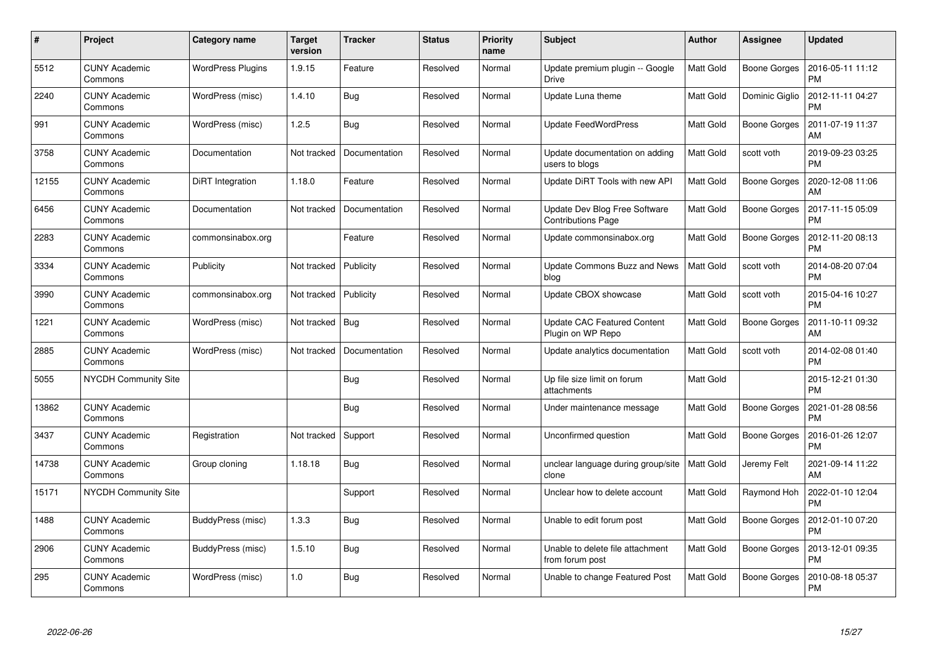| $\#$  | Project                         | Category name            | <b>Target</b><br>version | <b>Tracker</b> | <b>Status</b> | <b>Priority</b><br>name | <b>Subject</b>                                             | Author           | Assignee            | <b>Updated</b>                |
|-------|---------------------------------|--------------------------|--------------------------|----------------|---------------|-------------------------|------------------------------------------------------------|------------------|---------------------|-------------------------------|
| 5512  | <b>CUNY Academic</b><br>Commons | <b>WordPress Plugins</b> | 1.9.15                   | Feature        | Resolved      | Normal                  | Update premium plugin -- Google<br><b>Drive</b>            | Matt Gold        | Boone Gorges        | 2016-05-11 11:12<br><b>PM</b> |
| 2240  | <b>CUNY Academic</b><br>Commons | WordPress (misc)         | 1.4.10                   | <b>Bug</b>     | Resolved      | Normal                  | Update Luna theme                                          | Matt Gold        | Dominic Giglio      | 2012-11-11 04:27<br><b>PM</b> |
| 991   | <b>CUNY Academic</b><br>Commons | WordPress (misc)         | 1.2.5                    | <b>Bug</b>     | Resolved      | Normal                  | <b>Update FeedWordPress</b>                                | Matt Gold        | <b>Boone Gorges</b> | 2011-07-19 11:37<br>AM        |
| 3758  | <b>CUNY Academic</b><br>Commons | Documentation            | Not tracked              | Documentation  | Resolved      | Normal                  | Update documentation on adding<br>users to blogs           | Matt Gold        | scott voth          | 2019-09-23 03:25<br><b>PM</b> |
| 12155 | <b>CUNY Academic</b><br>Commons | DiRT Integration         | 1.18.0                   | Feature        | Resolved      | Normal                  | Update DiRT Tools with new API                             | Matt Gold        | <b>Boone Gorges</b> | 2020-12-08 11:06<br>AM        |
| 6456  | <b>CUNY Academic</b><br>Commons | Documentation            | Not tracked              | Documentation  | Resolved      | Normal                  | Update Dev Blog Free Software<br><b>Contributions Page</b> | Matt Gold        | <b>Boone Gorges</b> | 2017-11-15 05:09<br><b>PM</b> |
| 2283  | <b>CUNY Academic</b><br>Commons | commonsinabox.org        |                          | Feature        | Resolved      | Normal                  | Update commonsinabox.org                                   | Matt Gold        | <b>Boone Gorges</b> | 2012-11-20 08:13<br><b>PM</b> |
| 3334  | <b>CUNY Academic</b><br>Commons | Publicity                | Not tracked              | Publicity      | Resolved      | Normal                  | <b>Update Commons Buzz and News</b><br>blog                | Matt Gold        | scott voth          | 2014-08-20 07:04<br><b>PM</b> |
| 3990  | <b>CUNY Academic</b><br>Commons | commonsinabox.org        | Not tracked              | Publicity      | Resolved      | Normal                  | Update CBOX showcase                                       | Matt Gold        | scott voth          | 2015-04-16 10:27<br><b>PM</b> |
| 1221  | <b>CUNY Academic</b><br>Commons | WordPress (misc)         | Not tracked              | Bug            | Resolved      | Normal                  | <b>Update CAC Featured Content</b><br>Plugin on WP Repo    | <b>Matt Gold</b> | <b>Boone Gorges</b> | 2011-10-11 09:32<br>AM        |
| 2885  | <b>CUNY Academic</b><br>Commons | WordPress (misc)         | Not tracked              | Documentation  | Resolved      | Normal                  | Update analytics documentation                             | Matt Gold        | scott voth          | 2014-02-08 01:40<br><b>PM</b> |
| 5055  | <b>NYCDH Community Site</b>     |                          |                          | <b>Bug</b>     | Resolved      | Normal                  | Up file size limit on forum<br>attachments                 | Matt Gold        |                     | 2015-12-21 01:30<br><b>PM</b> |
| 13862 | <b>CUNY Academic</b><br>Commons |                          |                          | <b>Bug</b>     | Resolved      | Normal                  | Under maintenance message                                  | Matt Gold        | <b>Boone Gorges</b> | 2021-01-28 08:56<br><b>PM</b> |
| 3437  | <b>CUNY Academic</b><br>Commons | Registration             | Not tracked              | Support        | Resolved      | Normal                  | Unconfirmed question                                       | Matt Gold        | <b>Boone Gorges</b> | 2016-01-26 12:07<br><b>PM</b> |
| 14738 | <b>CUNY Academic</b><br>Commons | Group cloning            | 1.18.18                  | Bug            | Resolved      | Normal                  | unclear language during group/site<br>clone                | Matt Gold        | Jeremy Felt         | 2021-09-14 11:22<br>AM        |
| 15171 | <b>NYCDH Community Site</b>     |                          |                          | Support        | Resolved      | Normal                  | Unclear how to delete account                              | Matt Gold        | Raymond Hoh         | 2022-01-10 12:04<br><b>PM</b> |
| 1488  | <b>CUNY Academic</b><br>Commons | BuddyPress (misc)        | 1.3.3                    | <b>Bug</b>     | Resolved      | Normal                  | Unable to edit forum post                                  | Matt Gold        | <b>Boone Gorges</b> | 2012-01-10 07:20<br><b>PM</b> |
| 2906  | <b>CUNY Academic</b><br>Commons | BuddyPress (misc)        | 1.5.10                   | <b>Bug</b>     | Resolved      | Normal                  | Unable to delete file attachment<br>from forum post        | Matt Gold        | <b>Boone Gorges</b> | 2013-12-01 09:35<br><b>PM</b> |
| 295   | CUNY Academic<br>Commons        | WordPress (misc)         | 1.0                      | Bug            | Resolved      | Normal                  | Unable to change Featured Post                             | Matt Gold        | <b>Boone Gorges</b> | 2010-08-18 05:37<br>PM        |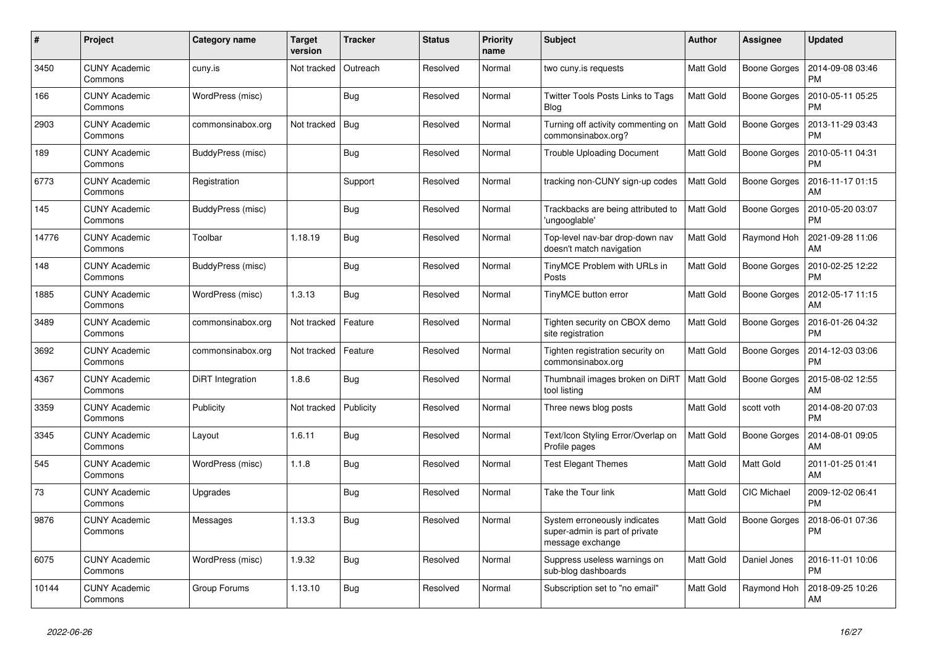| #     | Project                         | <b>Category name</b> | <b>Target</b><br>version | <b>Tracker</b> | <b>Status</b> | <b>Priority</b><br>name | <b>Subject</b>                                                                     | <b>Author</b>    | <b>Assignee</b>     | <b>Updated</b>                |
|-------|---------------------------------|----------------------|--------------------------|----------------|---------------|-------------------------|------------------------------------------------------------------------------------|------------------|---------------------|-------------------------------|
| 3450  | <b>CUNY Academic</b><br>Commons | cuny.is              | Not tracked              | Outreach       | Resolved      | Normal                  | two cuny.is requests                                                               | <b>Matt Gold</b> | <b>Boone Gorges</b> | 2014-09-08 03:46<br><b>PM</b> |
| 166   | <b>CUNY Academic</b><br>Commons | WordPress (misc)     |                          | <b>Bug</b>     | Resolved      | Normal                  | <b>Twitter Tools Posts Links to Tags</b><br>Blog                                   | <b>Matt Gold</b> | <b>Boone Gorges</b> | 2010-05-11 05:25<br><b>PM</b> |
| 2903  | <b>CUNY Academic</b><br>Commons | commonsinabox.org    | Not tracked              | Bug            | Resolved      | Normal                  | Turning off activity commenting on<br>commonsinabox.org?                           | Matt Gold        | Boone Gorges        | 2013-11-29 03:43<br><b>PM</b> |
| 189   | <b>CUNY Academic</b><br>Commons | BuddyPress (misc)    |                          | <b>Bug</b>     | Resolved      | Normal                  | <b>Trouble Uploading Document</b>                                                  | <b>Matt Gold</b> | Boone Gorges        | 2010-05-11 04:31<br><b>PM</b> |
| 6773  | <b>CUNY Academic</b><br>Commons | Registration         |                          | Support        | Resolved      | Normal                  | tracking non-CUNY sign-up codes                                                    | <b>Matt Gold</b> | Boone Gorges        | 2016-11-17 01:15<br>AM        |
| 145   | <b>CUNY Academic</b><br>Commons | BuddyPress (misc)    |                          | <b>Bug</b>     | Resolved      | Normal                  | Trackbacks are being attributed to<br>'ungooglable'                                | <b>Matt Gold</b> | Boone Gorges        | 2010-05-20 03:07<br><b>PM</b> |
| 14776 | <b>CUNY Academic</b><br>Commons | Toolbar              | 1.18.19                  | <b>Bug</b>     | Resolved      | Normal                  | Top-level nav-bar drop-down nav<br>doesn't match navigation                        | <b>Matt Gold</b> | Raymond Hoh         | 2021-09-28 11:06<br>AM        |
| 148   | <b>CUNY Academic</b><br>Commons | BuddyPress (misc)    |                          | <b>Bug</b>     | Resolved      | Normal                  | TinyMCE Problem with URLs in<br>Posts                                              | <b>Matt Gold</b> | <b>Boone Gorges</b> | 2010-02-25 12:22<br><b>PM</b> |
| 1885  | <b>CUNY Academic</b><br>Commons | WordPress (misc)     | 1.3.13                   | <b>Bug</b>     | Resolved      | Normal                  | TinyMCE button error                                                               | <b>Matt Gold</b> | <b>Boone Gorges</b> | 2012-05-17 11:15<br>AM        |
| 3489  | <b>CUNY Academic</b><br>Commons | commonsinabox.org    | Not tracked              | Feature        | Resolved      | Normal                  | Tighten security on CBOX demo<br>site registration                                 | <b>Matt Gold</b> | Boone Gorges        | 2016-01-26 04:32<br><b>PM</b> |
| 3692  | <b>CUNY Academic</b><br>Commons | commonsinabox.org    | Not tracked              | Feature        | Resolved      | Normal                  | Tighten registration security on<br>commonsinabox.org                              | <b>Matt Gold</b> | Boone Gorges        | 2014-12-03 03:06<br><b>PM</b> |
| 4367  | <b>CUNY Academic</b><br>Commons | DiRT Integration     | 1.8.6                    | <b>Bug</b>     | Resolved      | Normal                  | Thumbnail images broken on DiRT<br>tool listing                                    | Matt Gold        | Boone Gorges        | 2015-08-02 12:55<br>AM        |
| 3359  | <b>CUNY Academic</b><br>Commons | Publicity            | Not tracked              | Publicity      | Resolved      | Normal                  | Three news blog posts                                                              | Matt Gold        | scott voth          | 2014-08-20 07:03<br><b>PM</b> |
| 3345  | <b>CUNY Academic</b><br>Commons | Layout               | 1.6.11                   | <b>Bug</b>     | Resolved      | Normal                  | Text/Icon Styling Error/Overlap on<br>Profile pages                                | Matt Gold        | Boone Gorges        | 2014-08-01 09:05<br>AM        |
| 545   | <b>CUNY Academic</b><br>Commons | WordPress (misc)     | 1.1.8                    | <b>Bug</b>     | Resolved      | Normal                  | <b>Test Elegant Themes</b>                                                         | <b>Matt Gold</b> | Matt Gold           | 2011-01-25 01:41<br>AM        |
| 73    | <b>CUNY Academic</b><br>Commons | Upgrades             |                          | <b>Bug</b>     | Resolved      | Normal                  | Take the Tour link                                                                 | <b>Matt Gold</b> | <b>CIC Michael</b>  | 2009-12-02 06:41<br><b>PM</b> |
| 9876  | <b>CUNY Academic</b><br>Commons | Messages             | 1.13.3                   | <b>Bug</b>     | Resolved      | Normal                  | System erroneously indicates<br>super-admin is part of private<br>message exchange | Matt Gold        | <b>Boone Gorges</b> | 2018-06-01 07:36<br><b>PM</b> |
| 6075  | <b>CUNY Academic</b><br>Commons | WordPress (misc)     | 1.9.32                   | <b>Bug</b>     | Resolved      | Normal                  | Suppress useless warnings on<br>sub-blog dashboards                                | <b>Matt Gold</b> | Daniel Jones        | 2016-11-01 10:06<br><b>PM</b> |
| 10144 | <b>CUNY Academic</b><br>Commons | Group Forums         | 1.13.10                  | Bug            | Resolved      | Normal                  | Subscription set to "no email"                                                     | <b>Matt Gold</b> | Raymond Hoh         | 2018-09-25 10:26<br>AM        |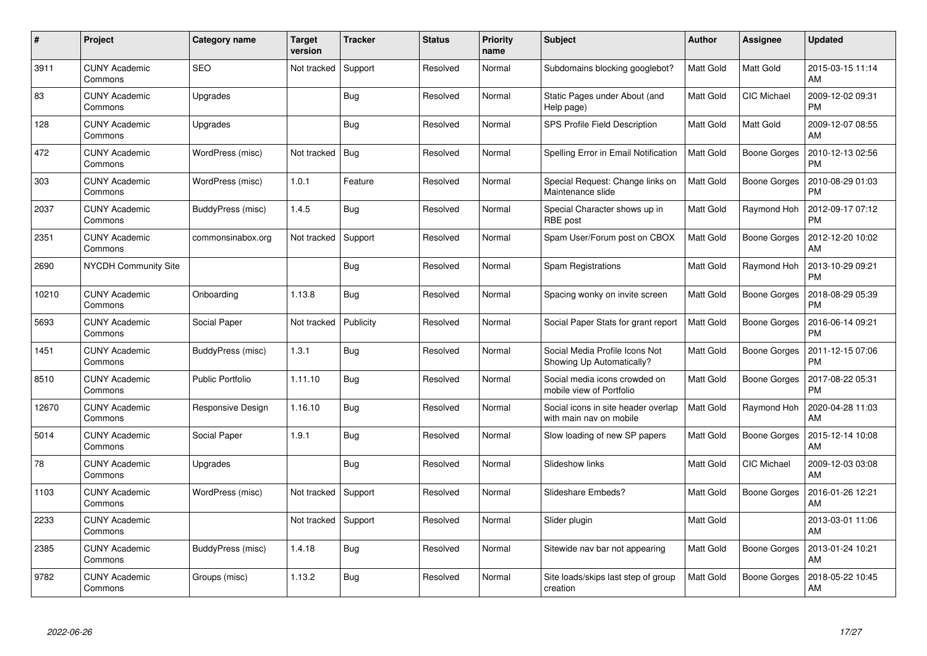| #     | Project                         | <b>Category name</b>    | <b>Target</b><br>version | <b>Tracker</b> | <b>Status</b> | <b>Priority</b><br>name | <b>Subject</b>                                                 | <b>Author</b>    | <b>Assignee</b>     | <b>Updated</b>                |
|-------|---------------------------------|-------------------------|--------------------------|----------------|---------------|-------------------------|----------------------------------------------------------------|------------------|---------------------|-------------------------------|
| 3911  | <b>CUNY Academic</b><br>Commons | <b>SEO</b>              | Not tracked              | Support        | Resolved      | Normal                  | Subdomains blocking googlebot?                                 | <b>Matt Gold</b> | <b>Matt Gold</b>    | 2015-03-15 11:14<br>AM        |
| 83    | <b>CUNY Academic</b><br>Commons | Upgrades                |                          | <b>Bug</b>     | Resolved      | Normal                  | Static Pages under About (and<br>Help page)                    | Matt Gold        | CIC Michael         | 2009-12-02 09:31<br><b>PM</b> |
| 128   | <b>CUNY Academic</b><br>Commons | Upgrades                |                          | <b>Bug</b>     | Resolved      | Normal                  | SPS Profile Field Description                                  | <b>Matt Gold</b> | Matt Gold           | 2009-12-07 08:55<br>AM        |
| 472   | <b>CUNY Academic</b><br>Commons | WordPress (misc)        | Not tracked              | Bug            | Resolved      | Normal                  | Spelling Error in Email Notification                           | Matt Gold        | Boone Gorges        | 2010-12-13 02:56<br><b>PM</b> |
| 303   | <b>CUNY Academic</b><br>Commons | WordPress (misc)        | 1.0.1                    | Feature        | Resolved      | Normal                  | Special Request: Change links on<br>Maintenance slide          | <b>Matt Gold</b> | Boone Gorges        | 2010-08-29 01:03<br><b>PM</b> |
| 2037  | <b>CUNY Academic</b><br>Commons | BuddyPress (misc)       | 1.4.5                    | Bug            | Resolved      | Normal                  | Special Character shows up in<br>RBE post                      | Matt Gold        | Raymond Hoh         | 2012-09-17 07:12<br><b>PM</b> |
| 2351  | <b>CUNY Academic</b><br>Commons | commonsinabox.org       | Not tracked              | Support        | Resolved      | Normal                  | Spam User/Forum post on CBOX                                   | Matt Gold        | Boone Gorges        | 2012-12-20 10:02<br>AM        |
| 2690  | <b>NYCDH Community Site</b>     |                         |                          | <b>Bug</b>     | Resolved      | Normal                  | Spam Registrations                                             | <b>Matt Gold</b> | Raymond Hoh         | 2013-10-29 09:21<br><b>PM</b> |
| 10210 | <b>CUNY Academic</b><br>Commons | Onboarding              | 1.13.8                   | Bug            | Resolved      | Normal                  | Spacing wonky on invite screen                                 | <b>Matt Gold</b> | <b>Boone Gorges</b> | 2018-08-29 05:39<br><b>PM</b> |
| 5693  | <b>CUNY Academic</b><br>Commons | Social Paper            | Not tracked              | Publicity      | Resolved      | Normal                  | Social Paper Stats for grant report                            | Matt Gold        | <b>Boone Gorges</b> | 2016-06-14 09:21<br><b>PM</b> |
| 1451  | <b>CUNY Academic</b><br>Commons | BuddyPress (misc)       | 1.3.1                    | <b>Bug</b>     | Resolved      | Normal                  | Social Media Profile Icons Not<br>Showing Up Automatically?    | Matt Gold        | <b>Boone Gorges</b> | 2011-12-15 07:06<br><b>PM</b> |
| 8510  | <b>CUNY Academic</b><br>Commons | <b>Public Portfolio</b> | 1.11.10                  | Bug            | Resolved      | Normal                  | Social media icons crowded on<br>mobile view of Portfolio      | <b>Matt Gold</b> | Boone Gorges        | 2017-08-22 05:31<br>PM        |
| 12670 | <b>CUNY Academic</b><br>Commons | Responsive Design       | 1.16.10                  | Bug            | Resolved      | Normal                  | Social icons in site header overlap<br>with main nav on mobile | Matt Gold        | Raymond Hoh         | 2020-04-28 11:03<br>AM        |
| 5014  | <b>CUNY Academic</b><br>Commons | Social Paper            | 1.9.1                    | <b>Bug</b>     | Resolved      | Normal                  | Slow loading of new SP papers                                  | Matt Gold        | Boone Gorges        | 2015-12-14 10:08<br>AM        |
| 78    | <b>CUNY Academic</b><br>Commons | Upgrades                |                          | <b>Bug</b>     | Resolved      | Normal                  | Slideshow links                                                | <b>Matt Gold</b> | CIC Michael         | 2009-12-03 03:08<br>AM        |
| 1103  | <b>CUNY Academic</b><br>Commons | WordPress (misc)        | Not tracked              | Support        | Resolved      | Normal                  | Slideshare Embeds?                                             | <b>Matt Gold</b> | Boone Gorges        | 2016-01-26 12:21<br>AM        |
| 2233  | <b>CUNY Academic</b><br>Commons |                         | Not tracked              | Support        | Resolved      | Normal                  | Slider plugin                                                  | Matt Gold        |                     | 2013-03-01 11:06<br>AM        |
| 2385  | <b>CUNY Academic</b><br>Commons | BuddyPress (misc)       | 1.4.18                   | <b>Bug</b>     | Resolved      | Normal                  | Sitewide nav bar not appearing                                 | <b>Matt Gold</b> | <b>Boone Gorges</b> | 2013-01-24 10:21<br>AM        |
| 9782  | <b>CUNY Academic</b><br>Commons | Groups (misc)           | 1.13.2                   | Bug            | Resolved      | Normal                  | Site loads/skips last step of group<br>creation                | Matt Gold        | Boone Gorges        | 2018-05-22 10:45<br>AM        |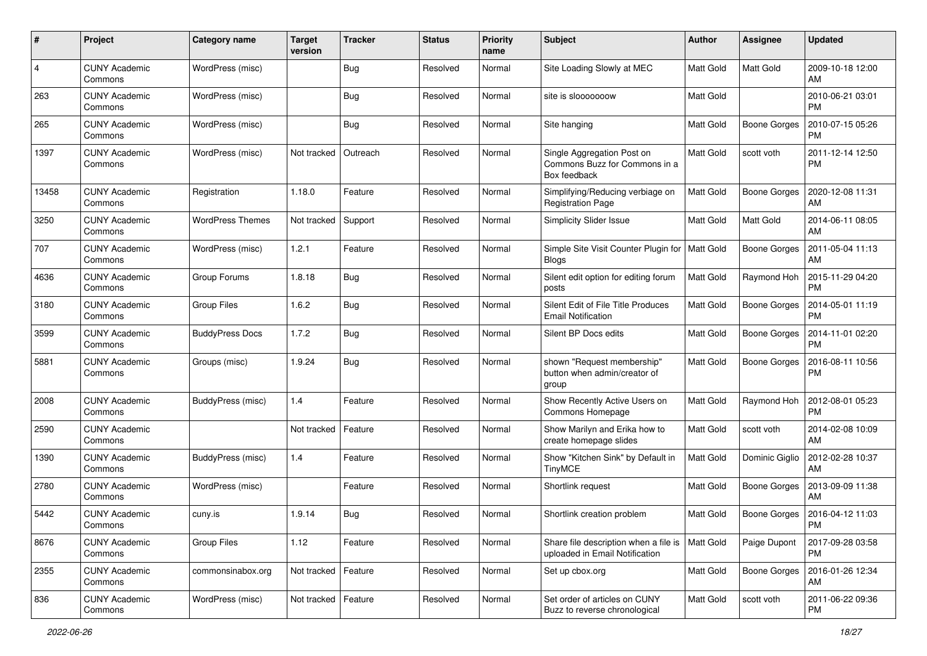| #              | Project                         | <b>Category name</b>    | <b>Target</b><br>version | <b>Tracker</b> | <b>Status</b> | <b>Priority</b><br>name | Subject                                                                     | Author           | Assignee            | <b>Updated</b>                |
|----------------|---------------------------------|-------------------------|--------------------------|----------------|---------------|-------------------------|-----------------------------------------------------------------------------|------------------|---------------------|-------------------------------|
| $\overline{4}$ | <b>CUNY Academic</b><br>Commons | WordPress (misc)        |                          | Bug            | Resolved      | Normal                  | Site Loading Slowly at MEC                                                  | <b>Matt Gold</b> | <b>Matt Gold</b>    | 2009-10-18 12:00<br>AM        |
| 263            | <b>CUNY Academic</b><br>Commons | WordPress (misc)        |                          | <b>Bug</b>     | Resolved      | Normal                  | site is slooooooow                                                          | Matt Gold        |                     | 2010-06-21 03:01<br><b>PM</b> |
| 265            | CUNY Academic<br>Commons        | WordPress (misc)        |                          | Bug            | Resolved      | Normal                  | Site hanging                                                                | Matt Gold        | <b>Boone Gorges</b> | 2010-07-15 05:26<br>PM        |
| 1397           | <b>CUNY Academic</b><br>Commons | WordPress (misc)        | Not tracked              | Outreach       | Resolved      | Normal                  | Single Aggregation Post on<br>Commons Buzz for Commons in a<br>Box feedback | <b>Matt Gold</b> | scott voth          | 2011-12-14 12:50<br><b>PM</b> |
| 13458          | <b>CUNY Academic</b><br>Commons | Registration            | 1.18.0                   | Feature        | Resolved      | Normal                  | Simplifying/Reducing verbiage on<br><b>Registration Page</b>                | Matt Gold        | <b>Boone Gorges</b> | 2020-12-08 11:31<br>AM        |
| 3250           | <b>CUNY Academic</b><br>Commons | <b>WordPress Themes</b> | Not tracked              | Support        | Resolved      | Normal                  | <b>Simplicity Slider Issue</b>                                              | <b>Matt Gold</b> | Matt Gold           | 2014-06-11 08:05<br>AM        |
| 707            | <b>CUNY Academic</b><br>Commons | WordPress (misc)        | 1.2.1                    | Feature        | Resolved      | Normal                  | Simple Site Visit Counter Plugin for<br><b>Blogs</b>                        | <b>Matt Gold</b> | Boone Gorges        | 2011-05-04 11:13<br>AM        |
| 4636           | <b>CUNY Academic</b><br>Commons | Group Forums            | 1.8.18                   | Bug            | Resolved      | Normal                  | Silent edit option for editing forum<br>posts                               | Matt Gold        | Raymond Hoh         | 2015-11-29 04:20<br><b>PM</b> |
| 3180           | <b>CUNY Academic</b><br>Commons | <b>Group Files</b>      | 1.6.2                    | Bug            | Resolved      | Normal                  | Silent Edit of File Title Produces<br><b>Email Notification</b>             | Matt Gold        | <b>Boone Gorges</b> | 2014-05-01 11:19<br>PM        |
| 3599           | CUNY Academic<br>Commons        | <b>BuddyPress Docs</b>  | 1.7.2                    | Bug            | Resolved      | Normal                  | Silent BP Docs edits                                                        | Matt Gold        | <b>Boone Gorges</b> | 2014-11-01 02:20<br>PM        |
| 5881           | CUNY Academic<br>Commons        | Groups (misc)           | 1.9.24                   | Bug            | Resolved      | Normal                  | shown "Request membership"<br>button when admin/creator of<br>group         | Matt Gold        | <b>Boone Gorges</b> | 2016-08-11 10:56<br>PM        |
| 2008           | <b>CUNY Academic</b><br>Commons | BuddyPress (misc)       | 1.4                      | Feature        | Resolved      | Normal                  | Show Recently Active Users on<br>Commons Homepage                           | Matt Gold        | Raymond Hoh         | 2012-08-01 05:23<br><b>PM</b> |
| 2590           | <b>CUNY Academic</b><br>Commons |                         | Not tracked              | Feature        | Resolved      | Normal                  | Show Marilyn and Erika how to<br>create homepage slides                     | Matt Gold        | scott voth          | 2014-02-08 10:09<br>AM        |
| 1390           | <b>CUNY Academic</b><br>Commons | BuddyPress (misc)       | 1.4                      | Feature        | Resolved      | Normal                  | Show "Kitchen Sink" by Default in<br><b>TinyMCE</b>                         | <b>Matt Gold</b> | Dominic Giglio      | 2012-02-28 10:37<br>AM        |
| 2780           | <b>CUNY Academic</b><br>Commons | WordPress (misc)        |                          | Feature        | Resolved      | Normal                  | Shortlink request                                                           | <b>Matt Gold</b> | <b>Boone Gorges</b> | 2013-09-09 11:38<br>AM        |
| 5442           | CUNY Academic<br>Commons        | cuny.is                 | 1.9.14                   | Bug            | Resolved      | Normal                  | Shortlink creation problem                                                  | Matt Gold        | Boone Gorges        | 2016-04-12 11:03<br>PM        |
| 8676           | <b>CUNY Academic</b><br>Commons | <b>Group Files</b>      | 1.12                     | Feature        | Resolved      | Normal                  | Share file description when a file is<br>uploaded in Email Notification     | <b>Matt Gold</b> | Paige Dupont        | 2017-09-28 03:58<br><b>PM</b> |
| 2355           | <b>CUNY Academic</b><br>Commons | commonsinabox.org       | Not tracked              | Feature        | Resolved      | Normal                  | Set up cbox.org                                                             | Matt Gold        | <b>Boone Gorges</b> | 2016-01-26 12:34<br>AM        |
| 836            | <b>CUNY Academic</b><br>Commons | WordPress (misc)        | Not tracked              | Feature        | Resolved      | Normal                  | Set order of articles on CUNY<br>Buzz to reverse chronological              | Matt Gold        | scott voth          | 2011-06-22 09:36<br>PM        |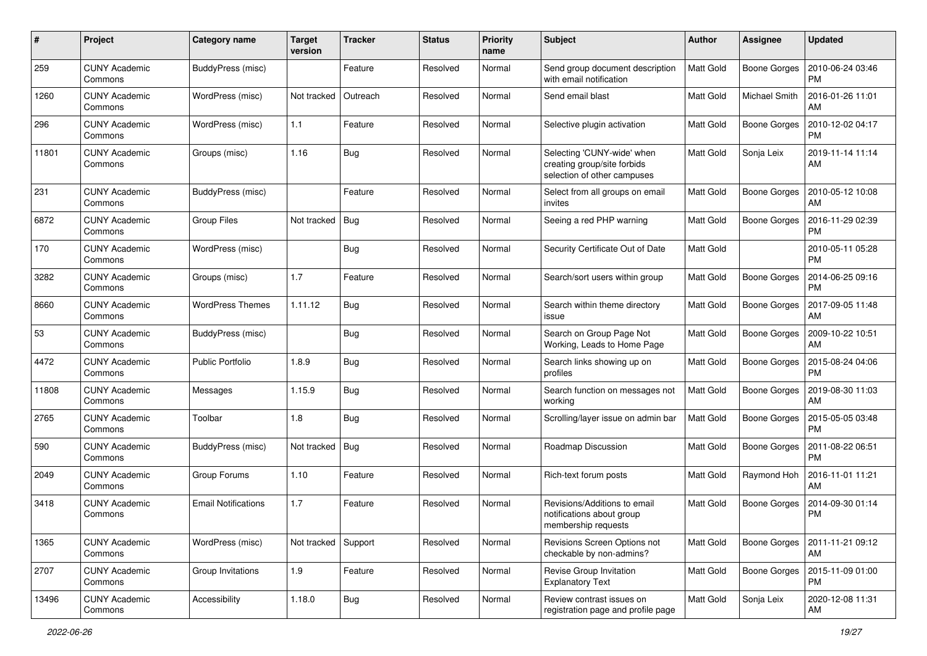| #     | Project                         | <b>Category name</b>       | <b>Target</b><br>version | <b>Tracker</b> | <b>Status</b> | <b>Priority</b><br>name | <b>Subject</b>                                                                           | <b>Author</b>    | <b>Assignee</b>     | <b>Updated</b>                |
|-------|---------------------------------|----------------------------|--------------------------|----------------|---------------|-------------------------|------------------------------------------------------------------------------------------|------------------|---------------------|-------------------------------|
| 259   | <b>CUNY Academic</b><br>Commons | BuddyPress (misc)          |                          | Feature        | Resolved      | Normal                  | Send group document description<br>with email notification                               | <b>Matt Gold</b> | <b>Boone Gorges</b> | 2010-06-24 03:46<br><b>PM</b> |
| 1260  | <b>CUNY Academic</b><br>Commons | WordPress (misc)           | Not tracked              | Outreach       | Resolved      | Normal                  | Send email blast                                                                         | Matt Gold        | Michael Smith       | 2016-01-26 11:01<br>AM        |
| 296   | <b>CUNY Academic</b><br>Commons | WordPress (misc)           | 1.1                      | Feature        | Resolved      | Normal                  | Selective plugin activation                                                              | <b>Matt Gold</b> | <b>Boone Gorges</b> | 2010-12-02 04:17<br><b>PM</b> |
| 11801 | <b>CUNY Academic</b><br>Commons | Groups (misc)              | 1.16                     | Bug            | Resolved      | Normal                  | Selecting 'CUNY-wide' when<br>creating group/site forbids<br>selection of other campuses | <b>Matt Gold</b> | Sonja Leix          | 2019-11-14 11:14<br>AM        |
| 231   | <b>CUNY Academic</b><br>Commons | BuddyPress (misc)          |                          | Feature        | Resolved      | Normal                  | Select from all groups on email<br>invites                                               | <b>Matt Gold</b> | <b>Boone Gorges</b> | 2010-05-12 10:08<br>AM        |
| 6872  | <b>CUNY Academic</b><br>Commons | <b>Group Files</b>         | Not tracked              | Bug            | Resolved      | Normal                  | Seeing a red PHP warning                                                                 | <b>Matt Gold</b> | Boone Gorges        | 2016-11-29 02:39<br><b>PM</b> |
| 170   | <b>CUNY Academic</b><br>Commons | WordPress (misc)           |                          | Bug            | Resolved      | Normal                  | Security Certificate Out of Date                                                         | Matt Gold        |                     | 2010-05-11 05:28<br><b>PM</b> |
| 3282  | <b>CUNY Academic</b><br>Commons | Groups (misc)              | 1.7                      | Feature        | Resolved      | Normal                  | Search/sort users within group                                                           | <b>Matt Gold</b> | <b>Boone Gorges</b> | 2014-06-25 09:16<br><b>PM</b> |
| 8660  | <b>CUNY Academic</b><br>Commons | <b>WordPress Themes</b>    | 1.11.12                  | Bug            | Resolved      | Normal                  | Search within theme directory<br>issue                                                   | <b>Matt Gold</b> | <b>Boone Gorges</b> | 2017-09-05 11:48<br>AM        |
| 53    | <b>CUNY Academic</b><br>Commons | BuddyPress (misc)          |                          | Bug            | Resolved      | Normal                  | Search on Group Page Not<br>Working, Leads to Home Page                                  | <b>Matt Gold</b> | <b>Boone Gorges</b> | 2009-10-22 10:51<br>AM        |
| 4472  | <b>CUNY Academic</b><br>Commons | <b>Public Portfolio</b>    | 1.8.9                    | Bug            | Resolved      | Normal                  | Search links showing up on<br>profiles                                                   | <b>Matt Gold</b> | <b>Boone Gorges</b> | 2015-08-24 04:06<br><b>PM</b> |
| 11808 | <b>CUNY Academic</b><br>Commons | Messages                   | 1.15.9                   | Bug            | Resolved      | Normal                  | Search function on messages not<br>working                                               | <b>Matt Gold</b> | <b>Boone Gorges</b> | 2019-08-30 11:03<br>AM        |
| 2765  | <b>CUNY Academic</b><br>Commons | Toolbar                    | 1.8                      | Bug            | Resolved      | Normal                  | Scrolling/layer issue on admin bar                                                       | <b>Matt Gold</b> | <b>Boone Gorges</b> | 2015-05-05 03:48<br><b>PM</b> |
| 590   | <b>CUNY Academic</b><br>Commons | BuddyPress (misc)          | Not tracked              | Bug            | Resolved      | Normal                  | Roadmap Discussion                                                                       | <b>Matt Gold</b> | <b>Boone Gorges</b> | 2011-08-22 06:51<br><b>PM</b> |
| 2049  | <b>CUNY Academic</b><br>Commons | Group Forums               | 1.10                     | Feature        | Resolved      | Normal                  | Rich-text forum posts                                                                    | <b>Matt Gold</b> | Raymond Hoh         | 2016-11-01 11:21<br>AM        |
| 3418  | <b>CUNY Academic</b><br>Commons | <b>Email Notifications</b> | 1.7                      | Feature        | Resolved      | Normal                  | Revisions/Additions to email<br>notifications about group<br>membership requests         | <b>Matt Gold</b> | <b>Boone Gorges</b> | 2014-09-30 01:14<br><b>PM</b> |
| 1365  | <b>CUNY Academic</b><br>Commons | WordPress (misc)           | Not tracked              | Support        | Resolved      | Normal                  | Revisions Screen Options not<br>checkable by non-admins?                                 | Matt Gold        | <b>Boone Gorges</b> | 2011-11-21 09:12<br>AM        |
| 2707  | <b>CUNY Academic</b><br>Commons | Group Invitations          | 1.9                      | Feature        | Resolved      | Normal                  | Revise Group Invitation<br><b>Explanatory Text</b>                                       | <b>Matt Gold</b> | <b>Boone Gorges</b> | 2015-11-09 01:00<br><b>PM</b> |
| 13496 | <b>CUNY Academic</b><br>Commons | Accessibility              | 1.18.0                   | <b>Bug</b>     | Resolved      | Normal                  | Review contrast issues on<br>registration page and profile page                          | Matt Gold        | Sonja Leix          | 2020-12-08 11:31<br>AM        |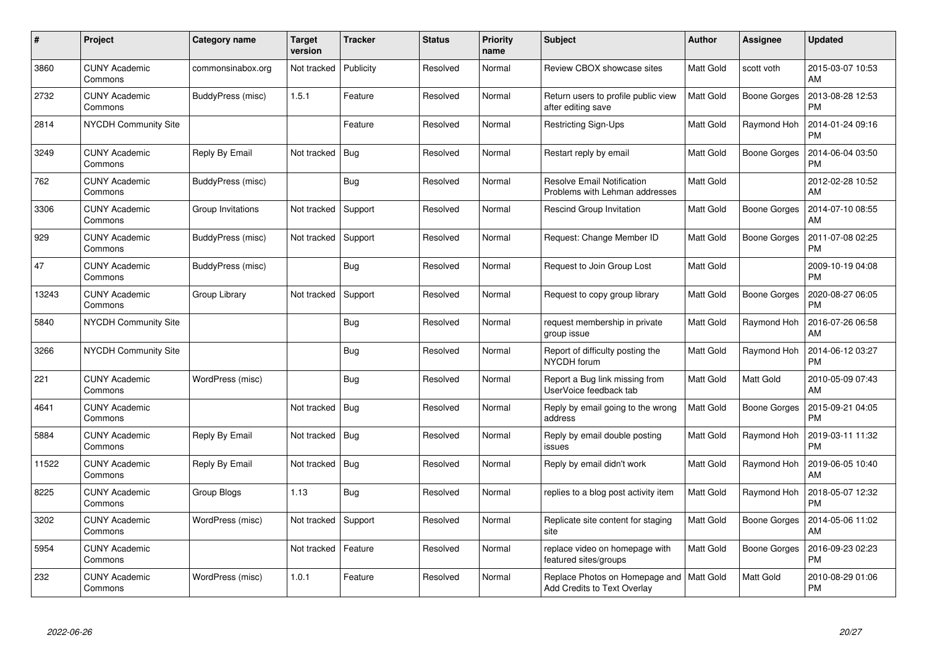| $\pmb{\#}$ | Project                         | Category name     | <b>Target</b><br>version | <b>Tracker</b> | <b>Status</b> | <b>Priority</b><br>name | <b>Subject</b>                                                      | <b>Author</b>    | <b>Assignee</b>     | <b>Updated</b>                |
|------------|---------------------------------|-------------------|--------------------------|----------------|---------------|-------------------------|---------------------------------------------------------------------|------------------|---------------------|-------------------------------|
| 3860       | <b>CUNY Academic</b><br>Commons | commonsinabox.org | Not tracked              | Publicity      | Resolved      | Normal                  | Review CBOX showcase sites                                          | Matt Gold        | scott voth          | 2015-03-07 10:53<br>AM        |
| 2732       | <b>CUNY Academic</b><br>Commons | BuddyPress (misc) | 1.5.1                    | Feature        | Resolved      | Normal                  | Return users to profile public view<br>after editing save           | Matt Gold        | <b>Boone Gorges</b> | 2013-08-28 12:53<br><b>PM</b> |
| 2814       | <b>NYCDH Community Site</b>     |                   |                          | Feature        | Resolved      | Normal                  | Restricting Sign-Ups                                                | Matt Gold        | Raymond Hoh         | 2014-01-24 09:16<br><b>PM</b> |
| 3249       | <b>CUNY Academic</b><br>Commons | Reply By Email    | Not tracked              | Bug            | Resolved      | Normal                  | Restart reply by email                                              | Matt Gold        | Boone Gorges        | 2014-06-04 03:50<br><b>PM</b> |
| 762        | <b>CUNY Academic</b><br>Commons | BuddyPress (misc) |                          | <b>Bug</b>     | Resolved      | Normal                  | <b>Resolve Email Notification</b><br>Problems with Lehman addresses | Matt Gold        |                     | 2012-02-28 10:52<br>AM        |
| 3306       | <b>CUNY Academic</b><br>Commons | Group Invitations | Not tracked              | Support        | Resolved      | Normal                  | <b>Rescind Group Invitation</b>                                     | Matt Gold        | <b>Boone Gorges</b> | 2014-07-10 08:55<br>AM        |
| 929        | <b>CUNY Academic</b><br>Commons | BuddyPress (misc) | Not tracked              | Support        | Resolved      | Normal                  | Request: Change Member ID                                           | Matt Gold        | <b>Boone Gorges</b> | 2011-07-08 02:25<br><b>PM</b> |
| 47         | <b>CUNY Academic</b><br>Commons | BuddyPress (misc) |                          | <b>Bug</b>     | Resolved      | Normal                  | Request to Join Group Lost                                          | Matt Gold        |                     | 2009-10-19 04:08<br><b>PM</b> |
| 13243      | <b>CUNY Academic</b><br>Commons | Group Library     | Not tracked              | Support        | Resolved      | Normal                  | Request to copy group library                                       | <b>Matt Gold</b> | <b>Boone Gorges</b> | 2020-08-27 06:05<br>PM        |
| 5840       | NYCDH Community Site            |                   |                          | <b>Bug</b>     | Resolved      | Normal                  | request membership in private<br>group issue                        | Matt Gold        | Raymond Hoh         | 2016-07-26 06:58<br>AM        |
| 3266       | NYCDH Community Site            |                   |                          | <b>Bug</b>     | Resolved      | Normal                  | Report of difficulty posting the<br>NYCDH forum                     | Matt Gold        | Raymond Hoh         | 2014-06-12 03:27<br><b>PM</b> |
| 221        | <b>CUNY Academic</b><br>Commons | WordPress (misc)  |                          | Bug            | Resolved      | Normal                  | Report a Bug link missing from<br>UserVoice feedback tab            | Matt Gold        | Matt Gold           | 2010-05-09 07:43<br>AM        |
| 4641       | <b>CUNY Academic</b><br>Commons |                   | Not tracked              | Bug            | Resolved      | Normal                  | Reply by email going to the wrong<br>address                        | Matt Gold        | <b>Boone Gorges</b> | 2015-09-21 04:05<br><b>PM</b> |
| 5884       | <b>CUNY Academic</b><br>Commons | Reply By Email    | Not tracked              | <b>Bug</b>     | Resolved      | Normal                  | Reply by email double posting<br>issues                             | Matt Gold        | Raymond Hoh         | 2019-03-11 11:32<br><b>PM</b> |
| 11522      | <b>CUNY Academic</b><br>Commons | Reply By Email    | Not tracked              | Bug            | Resolved      | Normal                  | Reply by email didn't work                                          | Matt Gold        | Raymond Hoh         | 2019-06-05 10:40<br>AM        |
| 8225       | <b>CUNY Academic</b><br>Commons | Group Blogs       | 1.13                     | Bug            | Resolved      | Normal                  | replies to a blog post activity item                                | Matt Gold        | Raymond Hoh         | 2018-05-07 12:32<br><b>PM</b> |
| 3202       | <b>CUNY Academic</b><br>Commons | WordPress (misc)  | Not tracked              | Support        | Resolved      | Normal                  | Replicate site content for staging<br>site                          | Matt Gold        | Boone Gorges        | 2014-05-06 11:02<br>AM        |
| 5954       | <b>CUNY Academic</b><br>Commons |                   | Not tracked              | Feature        | Resolved      | Normal                  | replace video on homepage with<br>featured sites/groups             | Matt Gold        | Boone Gorges        | 2016-09-23 02:23<br>PM        |
| 232        | CUNY Academic<br>Commons        | WordPress (misc)  | 1.0.1                    | Feature        | Resolved      | Normal                  | Replace Photos on Homepage and<br>Add Credits to Text Overlay       | <b>Matt Gold</b> | Matt Gold           | 2010-08-29 01:06<br>PM        |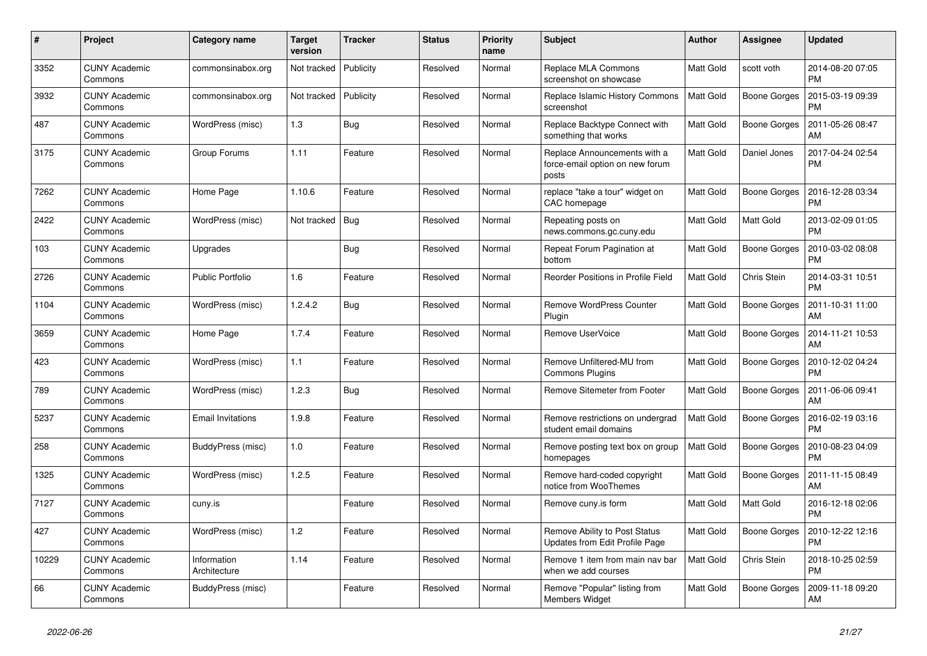| $\#$  | Project                         | Category name               | <b>Target</b><br>version | <b>Tracker</b> | <b>Status</b> | <b>Priority</b><br>name | <b>Subject</b>                                                           | Author           | <b>Assignee</b>     | <b>Updated</b>                |
|-------|---------------------------------|-----------------------------|--------------------------|----------------|---------------|-------------------------|--------------------------------------------------------------------------|------------------|---------------------|-------------------------------|
| 3352  | <b>CUNY Academic</b><br>Commons | commonsinabox.org           | Not tracked              | Publicity      | Resolved      | Normal                  | <b>Replace MLA Commons</b><br>screenshot on showcase                     | Matt Gold        | scott voth          | 2014-08-20 07:05<br>PM        |
| 3932  | <b>CUNY Academic</b><br>Commons | commonsinabox.org           | Not tracked              | Publicity      | Resolved      | Normal                  | Replace Islamic History Commons<br>screenshot                            | <b>Matt Gold</b> | <b>Boone Gorges</b> | 2015-03-19 09:39<br><b>PM</b> |
| 487   | CUNY Academic<br>Commons        | WordPress (misc)            | 1.3                      | Bug            | Resolved      | Normal                  | Replace Backtype Connect with<br>something that works                    | Matt Gold        | Boone Gorges        | 2011-05-26 08:47<br>AM        |
| 3175  | <b>CUNY Academic</b><br>Commons | Group Forums                | 1.11                     | Feature        | Resolved      | Normal                  | Replace Announcements with a<br>force-email option on new forum<br>posts | Matt Gold        | Daniel Jones        | 2017-04-24 02:54<br><b>PM</b> |
| 7262  | <b>CUNY Academic</b><br>Commons | Home Page                   | 1.10.6                   | Feature        | Resolved      | Normal                  | replace "take a tour" widget on<br>CAC homepage                          | Matt Gold        | Boone Gorges        | 2016-12-28 03:34<br><b>PM</b> |
| 2422  | CUNY Academic<br>Commons        | WordPress (misc)            | Not tracked              | Bug            | Resolved      | Normal                  | Repeating posts on<br>news.commons.gc.cuny.edu                           | Matt Gold        | Matt Gold           | 2013-02-09 01:05<br><b>PM</b> |
| 103   | <b>CUNY Academic</b><br>Commons | Upgrades                    |                          | <b>Bug</b>     | Resolved      | Normal                  | Repeat Forum Pagination at<br>bottom                                     | Matt Gold        | <b>Boone Gorges</b> | 2010-03-02 08:08<br><b>PM</b> |
| 2726  | <b>CUNY Academic</b><br>Commons | <b>Public Portfolio</b>     | 1.6                      | Feature        | Resolved      | Normal                  | Reorder Positions in Profile Field                                       | Matt Gold        | Chris Stein         | 2014-03-31 10:51<br><b>PM</b> |
| 1104  | <b>CUNY Academic</b><br>Commons | WordPress (misc)            | 1.2.4.2                  | Bug            | Resolved      | Normal                  | <b>Remove WordPress Counter</b><br>Plugin                                | Matt Gold        | <b>Boone Gorges</b> | 2011-10-31 11:00<br>AM        |
| 3659  | <b>CUNY Academic</b><br>Commons | Home Page                   | 1.7.4                    | Feature        | Resolved      | Normal                  | Remove UserVoice                                                         | Matt Gold        | <b>Boone Gorges</b> | 2014-11-21 10:53<br>AM        |
| 423   | <b>CUNY Academic</b><br>Commons | WordPress (misc)            | 1.1                      | Feature        | Resolved      | Normal                  | Remove Unfiltered-MU from<br><b>Commons Plugins</b>                      | <b>Matt Gold</b> | Boone Gorges        | 2010-12-02 04:24<br><b>PM</b> |
| 789   | <b>CUNY Academic</b><br>Commons | WordPress (misc)            | 1.2.3                    | <b>Bug</b>     | Resolved      | Normal                  | Remove Sitemeter from Footer                                             | Matt Gold        | <b>Boone Gorges</b> | 2011-06-06 09:41<br>AM        |
| 5237  | <b>CUNY Academic</b><br>Commons | <b>Email Invitations</b>    | 1.9.8                    | Feature        | Resolved      | Normal                  | Remove restrictions on undergrad<br>student email domains                | Matt Gold        | <b>Boone Gorges</b> | 2016-02-19 03:16<br><b>PM</b> |
| 258   | <b>CUNY Academic</b><br>Commons | BuddyPress (misc)           | 1.0                      | Feature        | Resolved      | Normal                  | Remove posting text box on group<br>homepages                            | Matt Gold        | Boone Gorges        | 2010-08-23 04:09<br><b>PM</b> |
| 1325  | <b>CUNY Academic</b><br>Commons | WordPress (misc)            | 1.2.5                    | Feature        | Resolved      | Normal                  | Remove hard-coded copyright<br>notice from WooThemes                     | Matt Gold        | <b>Boone Gorges</b> | 2011-11-15 08:49<br>AM        |
| 7127  | <b>CUNY Academic</b><br>Commons | cuny.is                     |                          | Feature        | Resolved      | Normal                  | Remove cuny.is form                                                      | Matt Gold        | Matt Gold           | 2016-12-18 02:06<br><b>PM</b> |
| 427   | <b>CUNY Academic</b><br>Commons | WordPress (misc)            | 1.2                      | Feature        | Resolved      | Normal                  | Remove Ability to Post Status<br>Updates from Edit Profile Page          | Matt Gold        | Boone Gorges        | 2010-12-22 12:16<br><b>PM</b> |
| 10229 | <b>CUNY Academic</b><br>Commons | Information<br>Architecture | 1.14                     | Feature        | Resolved      | Normal                  | Remove 1 item from main nav bar<br>when we add courses                   | Matt Gold        | Chris Stein         | 2018-10-25 02:59<br>PM        |
| 66    | <b>CUNY Academic</b><br>Commons | BuddyPress (misc)           |                          | Feature        | Resolved      | Normal                  | Remove "Popular" listing from<br>Members Widget                          | Matt Gold        | Boone Gorges        | 2009-11-18 09:20<br>AM        |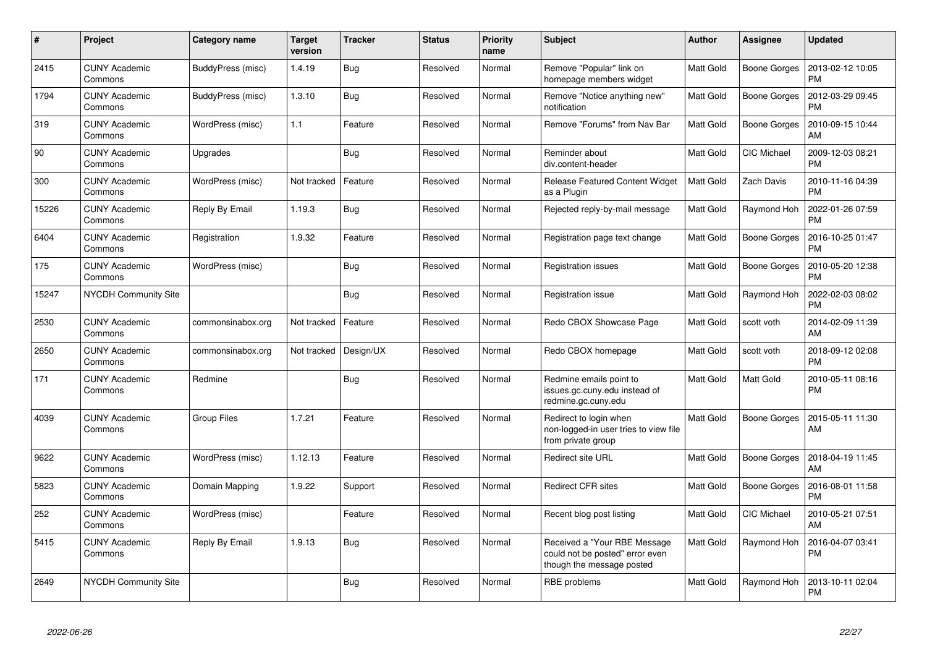| $\#$  | Project                         | Category name      | <b>Target</b><br>version | <b>Tracker</b> | <b>Status</b> | <b>Priority</b><br>name | <b>Subject</b>                                                                               | Author    | Assignee            | <b>Updated</b>                |
|-------|---------------------------------|--------------------|--------------------------|----------------|---------------|-------------------------|----------------------------------------------------------------------------------------------|-----------|---------------------|-------------------------------|
| 2415  | <b>CUNY Academic</b><br>Commons | BuddyPress (misc)  | 1.4.19                   | Bug            | Resolved      | Normal                  | Remove "Popular" link on<br>homepage members widget                                          | Matt Gold | <b>Boone Gorges</b> | 2013-02-12 10:05<br><b>PM</b> |
| 1794  | <b>CUNY Academic</b><br>Commons | BuddyPress (misc)  | 1.3.10                   | <b>Bug</b>     | Resolved      | Normal                  | Remove "Notice anything new"<br>notification                                                 | Matt Gold | <b>Boone Gorges</b> | 2012-03-29 09:45<br><b>PM</b> |
| 319   | <b>CUNY Academic</b><br>Commons | WordPress (misc)   | 1.1                      | Feature        | Resolved      | Normal                  | Remove "Forums" from Nav Bar                                                                 | Matt Gold | <b>Boone Gorges</b> | 2010-09-15 10:44<br>AM        |
| 90    | <b>CUNY Academic</b><br>Commons | Upgrades           |                          | <b>Bug</b>     | Resolved      | Normal                  | Reminder about<br>div.content-header                                                         | Matt Gold | <b>CIC Michael</b>  | 2009-12-03 08:21<br><b>PM</b> |
| 300   | CUNY Academic<br>Commons        | WordPress (misc)   | Not tracked              | Feature        | Resolved      | Normal                  | <b>Release Featured Content Widget</b><br>as a Plugin                                        | Matt Gold | Zach Davis          | 2010-11-16 04:39<br><b>PM</b> |
| 15226 | <b>CUNY Academic</b><br>Commons | Reply By Email     | 1.19.3                   | Bug            | Resolved      | Normal                  | Rejected reply-by-mail message                                                               | Matt Gold | Raymond Hoh         | 2022-01-26 07:59<br><b>PM</b> |
| 6404  | <b>CUNY Academic</b><br>Commons | Registration       | 1.9.32                   | Feature        | Resolved      | Normal                  | Registration page text change                                                                | Matt Gold | Boone Gorges        | 2016-10-25 01:47<br><b>PM</b> |
| 175   | <b>CUNY Academic</b><br>Commons | WordPress (misc)   |                          | <b>Bug</b>     | Resolved      | Normal                  | <b>Registration issues</b>                                                                   | Matt Gold | <b>Boone Gorges</b> | 2010-05-20 12:38<br>PM        |
| 15247 | NYCDH Community Site            |                    |                          | Bug            | Resolved      | Normal                  | Registration issue                                                                           | Matt Gold | Raymond Hoh         | 2022-02-03 08:02<br>PM        |
| 2530  | <b>CUNY Academic</b><br>Commons | commonsinabox.org  | Not tracked              | Feature        | Resolved      | Normal                  | Redo CBOX Showcase Page                                                                      | Matt Gold | scott voth          | 2014-02-09 11:39<br>AM        |
| 2650  | CUNY Academic<br>Commons        | commonsinabox.org  | Not tracked              | Design/UX      | Resolved      | Normal                  | Redo CBOX homepage                                                                           | Matt Gold | scott voth          | 2018-09-12 02:08<br><b>PM</b> |
| 171   | <b>CUNY Academic</b><br>Commons | Redmine            |                          | <b>Bug</b>     | Resolved      | Normal                  | Redmine emails point to<br>issues.gc.cuny.edu instead of<br>redmine.gc.cuny.edu              | Matt Gold | Matt Gold           | 2010-05-11 08:16<br><b>PM</b> |
| 4039  | <b>CUNY Academic</b><br>Commons | <b>Group Files</b> | 1.7.21                   | Feature        | Resolved      | Normal                  | Redirect to login when<br>non-logged-in user tries to view file<br>from private group        | Matt Gold | Boone Gorges        | 2015-05-11 11:30<br>AM        |
| 9622  | <b>CUNY Academic</b><br>Commons | WordPress (misc)   | 1.12.13                  | Feature        | Resolved      | Normal                  | <b>Redirect site URL</b>                                                                     | Matt Gold | <b>Boone Gorges</b> | 2018-04-19 11:45<br>AM        |
| 5823  | <b>CUNY Academic</b><br>Commons | Domain Mapping     | 1.9.22                   | Support        | Resolved      | Normal                  | <b>Redirect CFR sites</b>                                                                    | Matt Gold | Boone Gorges        | 2016-08-01 11:58<br><b>PM</b> |
| 252   | <b>CUNY Academic</b><br>Commons | WordPress (misc)   |                          | Feature        | Resolved      | Normal                  | Recent blog post listing                                                                     | Matt Gold | <b>CIC Michael</b>  | 2010-05-21 07:51<br>AM        |
| 5415  | <b>CUNY Academic</b><br>Commons | Reply By Email     | 1.9.13                   | <b>Bug</b>     | Resolved      | Normal                  | Received a "Your RBE Message<br>could not be posted" error even<br>though the message posted | Matt Gold | Raymond Hoh         | 2016-04-07 03:41<br><b>PM</b> |
| 2649  | <b>NYCDH Community Site</b>     |                    |                          | Bug            | Resolved      | Normal                  | RBE problems                                                                                 | Matt Gold | Raymond Hoh         | 2013-10-11 02:04<br>PM        |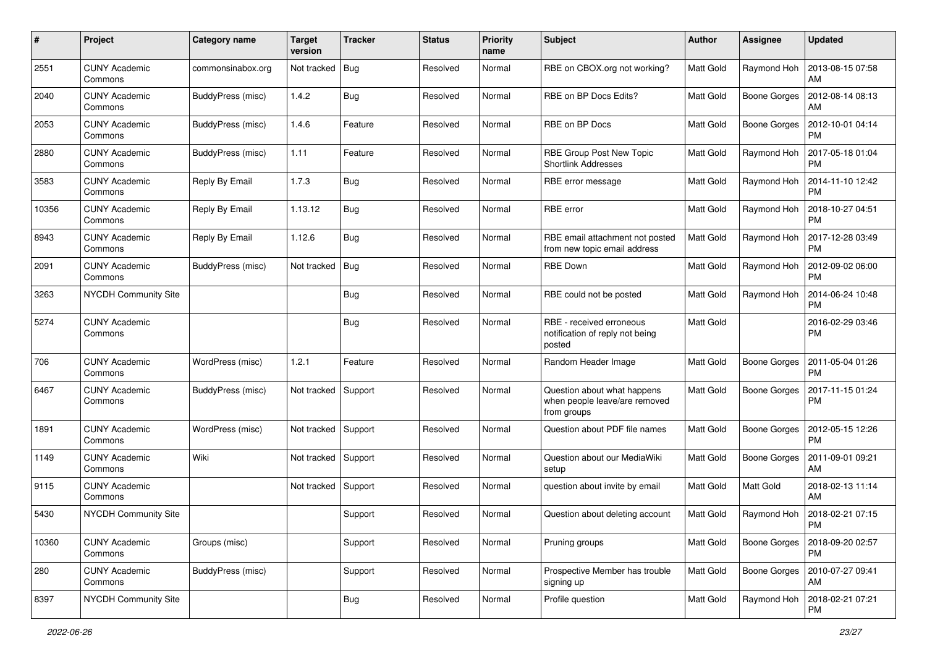| $\#$  | Project                         | <b>Category name</b> | <b>Target</b><br>version | <b>Tracker</b> | <b>Status</b> | <b>Priority</b><br>name | <b>Subject</b>                                                              | Author           | <b>Assignee</b>     | <b>Updated</b>                |
|-------|---------------------------------|----------------------|--------------------------|----------------|---------------|-------------------------|-----------------------------------------------------------------------------|------------------|---------------------|-------------------------------|
| 2551  | <b>CUNY Academic</b><br>Commons | commonsinabox.org    | Not tracked              | <b>Bug</b>     | Resolved      | Normal                  | RBE on CBOX.org not working?                                                | Matt Gold        | Raymond Hoh         | 2013-08-15 07:58<br>AM        |
| 2040  | <b>CUNY Academic</b><br>Commons | BuddyPress (misc)    | 1.4.2                    | Bug            | Resolved      | Normal                  | RBE on BP Docs Edits?                                                       | Matt Gold        | <b>Boone Gorges</b> | 2012-08-14 08:13<br>AM        |
| 2053  | CUNY Academic<br>Commons        | BuddyPress (misc)    | 1.4.6                    | Feature        | Resolved      | Normal                  | RBE on BP Docs                                                              | Matt Gold        | <b>Boone Gorges</b> | 2012-10-01 04:14<br>PM        |
| 2880  | <b>CUNY Academic</b><br>Commons | BuddyPress (misc)    | 1.11                     | Feature        | Resolved      | Normal                  | RBE Group Post New Topic<br><b>Shortlink Addresses</b>                      | <b>Matt Gold</b> | Raymond Hoh         | 2017-05-18 01:04<br>PM        |
| 3583  | <b>CUNY Academic</b><br>Commons | Reply By Email       | 1.7.3                    | Bug            | Resolved      | Normal                  | RBE error message                                                           | Matt Gold        | Raymond Hoh         | 2014-11-10 12:42<br>PM        |
| 10356 | <b>CUNY Academic</b><br>Commons | Reply By Email       | 1.13.12                  | Bug            | Resolved      | Normal                  | RBE error                                                                   | Matt Gold        | Raymond Hoh         | 2018-10-27 04:51<br><b>PM</b> |
| 8943  | <b>CUNY Academic</b><br>Commons | Reply By Email       | 1.12.6                   | <b>Bug</b>     | Resolved      | Normal                  | RBE email attachment not posted<br>from new topic email address             | Matt Gold        | Raymond Hoh         | 2017-12-28 03:49<br><b>PM</b> |
| 2091  | <b>CUNY Academic</b><br>Commons | BuddyPress (misc)    | Not tracked              | <b>Bug</b>     | Resolved      | Normal                  | <b>RBE Down</b>                                                             | Matt Gold        | Raymond Hoh         | 2012-09-02 06:00<br><b>PM</b> |
| 3263  | NYCDH Community Site            |                      |                          | Bug            | Resolved      | Normal                  | RBE could not be posted                                                     | Matt Gold        | Raymond Hoh         | 2014-06-24 10:48<br><b>PM</b> |
| 5274  | <b>CUNY Academic</b><br>Commons |                      |                          | Bug            | Resolved      | Normal                  | RBE - received erroneous<br>notification of reply not being<br>posted       | Matt Gold        |                     | 2016-02-29 03:46<br>PM        |
| 706   | <b>CUNY Academic</b><br>Commons | WordPress (misc)     | 1.2.1                    | Feature        | Resolved      | Normal                  | Random Header Image                                                         | Matt Gold        | <b>Boone Gorges</b> | 2011-05-04 01:26<br><b>PM</b> |
| 6467  | <b>CUNY Academic</b><br>Commons | BuddyPress (misc)    | Not tracked              | Support        | Resolved      | Normal                  | Question about what happens<br>when people leave/are removed<br>from groups | <b>Matt Gold</b> | <b>Boone Gorges</b> | 2017-11-15 01:24<br><b>PM</b> |
| 1891  | <b>CUNY Academic</b><br>Commons | WordPress (misc)     | Not tracked              | Support        | Resolved      | Normal                  | Question about PDF file names                                               | Matt Gold        | <b>Boone Gorges</b> | 2012-05-15 12:26<br><b>PM</b> |
| 1149  | <b>CUNY Academic</b><br>Commons | Wiki                 | Not tracked              | Support        | Resolved      | Normal                  | Question about our MediaWiki<br>setup                                       | Matt Gold        | <b>Boone Gorges</b> | 2011-09-01 09:21<br>AM        |
| 9115  | <b>CUNY Academic</b><br>Commons |                      | Not tracked              | Support        | Resolved      | Normal                  | question about invite by email                                              | Matt Gold        | Matt Gold           | 2018-02-13 11:14<br>AM        |
| 5430  | NYCDH Community Site            |                      |                          | Support        | Resolved      | Normal                  | Question about deleting account                                             | Matt Gold        | Raymond Hoh         | 2018-02-21 07:15<br>PM        |
| 10360 | <b>CUNY Academic</b><br>Commons | Groups (misc)        |                          | Support        | Resolved      | Normal                  | Pruning groups                                                              | Matt Gold        | <b>Boone Gorges</b> | 2018-09-20 02:57<br><b>PM</b> |
| 280   | <b>CUNY Academic</b><br>Commons | BuddyPress (misc)    |                          | Support        | Resolved      | Normal                  | Prospective Member has trouble<br>signing up                                | Matt Gold        | <b>Boone Gorges</b> | 2010-07-27 09:41<br>AM        |
| 8397  | NYCDH Community Site            |                      |                          | Bug            | Resolved      | Normal                  | Profile question                                                            | Matt Gold        | Raymond Hoh         | 2018-02-21 07:21<br>PM        |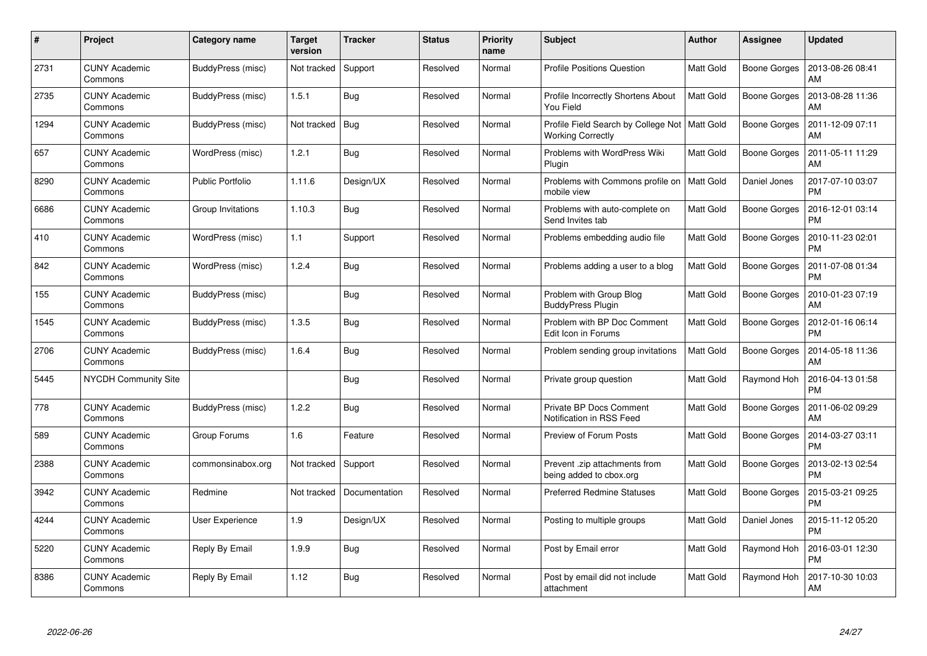| #    | Project                         | Category name           | <b>Target</b><br>version | <b>Tracker</b> | <b>Status</b> | <b>Priority</b><br>name | <b>Subject</b>                                                              | <b>Author</b>    | <b>Assignee</b>     | <b>Updated</b>                |
|------|---------------------------------|-------------------------|--------------------------|----------------|---------------|-------------------------|-----------------------------------------------------------------------------|------------------|---------------------|-------------------------------|
| 2731 | <b>CUNY Academic</b><br>Commons | BuddyPress (misc)       | Not tracked              | Support        | Resolved      | Normal                  | <b>Profile Positions Question</b>                                           | <b>Matt Gold</b> | <b>Boone Gorges</b> | 2013-08-26 08:41<br>AM        |
| 2735 | <b>CUNY Academic</b><br>Commons | BuddyPress (misc)       | 1.5.1                    | Bug            | Resolved      | Normal                  | Profile Incorrectly Shortens About<br>You Field                             | <b>Matt Gold</b> | <b>Boone Gorges</b> | 2013-08-28 11:36<br>AM        |
| 1294 | <b>CUNY Academic</b><br>Commons | BuddyPress (misc)       | Not tracked              | Bug            | Resolved      | Normal                  | Profile Field Search by College Not   Matt Gold<br><b>Working Correctly</b> |                  | Boone Gorges        | 2011-12-09 07:11<br>AM        |
| 657  | <b>CUNY Academic</b><br>Commons | WordPress (misc)        | 1.2.1                    | Bug            | Resolved      | Normal                  | Problems with WordPress Wiki<br>Plugin                                      | <b>Matt Gold</b> | Boone Gorges        | 2011-05-11 11:29<br>AM        |
| 8290 | <b>CUNY Academic</b><br>Commons | <b>Public Portfolio</b> | 1.11.6                   | Design/UX      | Resolved      | Normal                  | Problems with Commons profile on<br>mobile view                             | <b>Matt Gold</b> | Daniel Jones        | 2017-07-10 03:07<br><b>PM</b> |
| 6686 | <b>CUNY Academic</b><br>Commons | Group Invitations       | 1.10.3                   | Bug            | Resolved      | Normal                  | Problems with auto-complete on<br>Send Invites tab                          | <b>Matt Gold</b> | Boone Gorges        | 2016-12-01 03:14<br><b>PM</b> |
| 410  | <b>CUNY Academic</b><br>Commons | WordPress (misc)        | 1.1                      | Support        | Resolved      | Normal                  | Problems embedding audio file                                               | <b>Matt Gold</b> | Boone Gorges        | 2010-11-23 02:01<br><b>PM</b> |
| 842  | <b>CUNY Academic</b><br>Commons | WordPress (misc)        | 1.2.4                    | Bug            | Resolved      | Normal                  | Problems adding a user to a blog                                            | <b>Matt Gold</b> | Boone Gorges        | 2011-07-08 01:34<br><b>PM</b> |
| 155  | <b>CUNY Academic</b><br>Commons | BuddyPress (misc)       |                          | Bug            | Resolved      | Normal                  | Problem with Group Blog<br><b>BuddyPress Plugin</b>                         | Matt Gold        | Boone Gorges        | 2010-01-23 07:19<br>AM        |
| 1545 | <b>CUNY Academic</b><br>Commons | BuddyPress (misc)       | 1.3.5                    | Bug            | Resolved      | Normal                  | Problem with BP Doc Comment<br>Edit Icon in Forums                          | <b>Matt Gold</b> | Boone Gorges        | 2012-01-16 06:14<br><b>PM</b> |
| 2706 | <b>CUNY Academic</b><br>Commons | BuddyPress (misc)       | 1.6.4                    | <b>Bug</b>     | Resolved      | Normal                  | Problem sending group invitations                                           | Matt Gold        | Boone Gorges        | 2014-05-18 11:36<br>AM        |
| 5445 | <b>NYCDH Community Site</b>     |                         |                          | <b>Bug</b>     | Resolved      | Normal                  | Private group question                                                      | Matt Gold        | Raymond Hoh         | 2016-04-13 01:58<br><b>PM</b> |
| 778  | <b>CUNY Academic</b><br>Commons | BuddyPress (misc)       | 1.2.2                    | Bug            | Resolved      | Normal                  | <b>Private BP Docs Comment</b><br>Notification in RSS Feed                  | Matt Gold        | Boone Gorges        | 2011-06-02 09:29<br>AM        |
| 589  | <b>CUNY Academic</b><br>Commons | Group Forums            | 1.6                      | Feature        | Resolved      | Normal                  | Preview of Forum Posts                                                      | <b>Matt Gold</b> | Boone Gorges        | 2014-03-27 03:11<br><b>PM</b> |
| 2388 | <b>CUNY Academic</b><br>Commons | commonsinabox.org       | Not tracked              | Support        | Resolved      | Normal                  | Prevent .zip attachments from<br>being added to cbox.org                    | <b>Matt Gold</b> | <b>Boone Gorges</b> | 2013-02-13 02:54<br><b>PM</b> |
| 3942 | <b>CUNY Academic</b><br>Commons | Redmine                 | Not tracked              | Documentation  | Resolved      | Normal                  | <b>Preferred Redmine Statuses</b>                                           | <b>Matt Gold</b> | Boone Gorges        | 2015-03-21 09:25<br><b>PM</b> |
| 4244 | <b>CUNY Academic</b><br>Commons | User Experience         | 1.9                      | Design/UX      | Resolved      | Normal                  | Posting to multiple groups                                                  | Matt Gold        | Daniel Jones        | 2015-11-12 05:20<br><b>PM</b> |
| 5220 | <b>CUNY Academic</b><br>Commons | Reply By Email          | 1.9.9                    | Bug            | Resolved      | Normal                  | Post by Email error                                                         | Matt Gold        | Raymond Hoh         | 2016-03-01 12:30<br><b>PM</b> |
| 8386 | <b>CUNY Academic</b><br>Commons | Reply By Email          | 1.12                     | <b>Bug</b>     | Resolved      | Normal                  | Post by email did not include<br>attachment                                 | <b>Matt Gold</b> | Raymond Hoh         | 2017-10-30 10:03<br>AM        |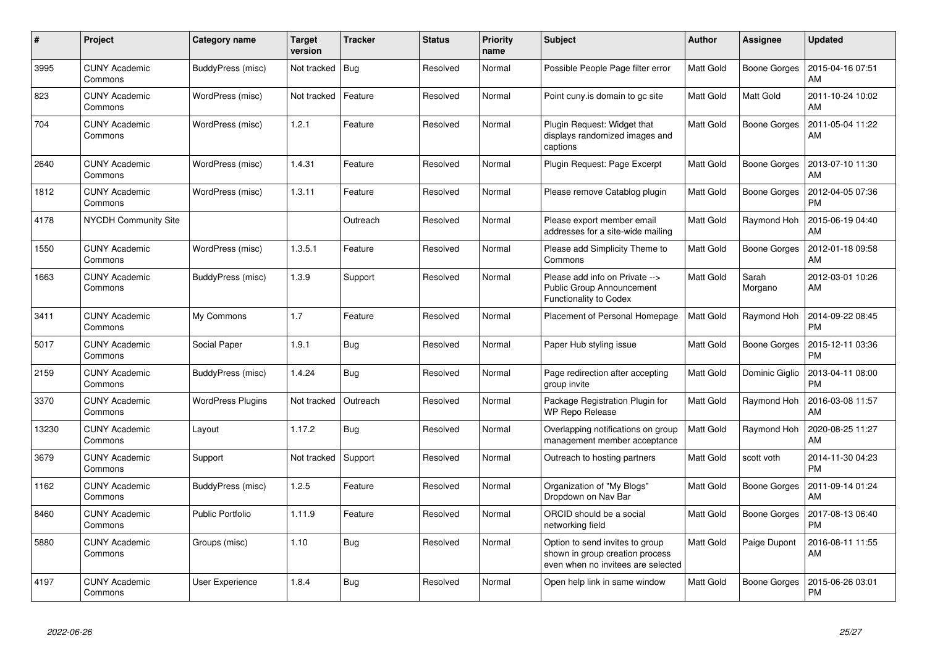| $\#$  | Project                         | Category name            | <b>Target</b><br>version | <b>Tracker</b> | <b>Status</b> | <b>Priority</b><br>name | <b>Subject</b>                                                                                           | Author           | Assignee            | <b>Updated</b>                |
|-------|---------------------------------|--------------------------|--------------------------|----------------|---------------|-------------------------|----------------------------------------------------------------------------------------------------------|------------------|---------------------|-------------------------------|
| 3995  | <b>CUNY Academic</b><br>Commons | BuddyPress (misc)        | Not tracked              | <b>Bug</b>     | Resolved      | Normal                  | Possible People Page filter error                                                                        | <b>Matt Gold</b> | <b>Boone Gorges</b> | 2015-04-16 07:51<br>AM        |
| 823   | <b>CUNY Academic</b><br>Commons | WordPress (misc)         | Not tracked              | Feature        | Resolved      | Normal                  | Point cuny is domain to go site                                                                          | Matt Gold        | Matt Gold           | 2011-10-24 10:02<br>AM        |
| 704   | <b>CUNY Academic</b><br>Commons | WordPress (misc)         | 1.2.1                    | Feature        | Resolved      | Normal                  | Plugin Request: Widget that<br>displays randomized images and<br>captions                                | <b>Matt Gold</b> | <b>Boone Gorges</b> | 2011-05-04 11:22<br>AM        |
| 2640  | <b>CUNY Academic</b><br>Commons | WordPress (misc)         | 1.4.31                   | Feature        | Resolved      | Normal                  | Plugin Request: Page Excerpt                                                                             | <b>Matt Gold</b> | Boone Gorges        | 2013-07-10 11:30<br>AM        |
| 1812  | CUNY Academic<br>Commons        | WordPress (misc)         | 1.3.11                   | Feature        | Resolved      | Normal                  | Please remove Catablog plugin                                                                            | Matt Gold        | Boone Gorges        | 2012-04-05 07:36<br><b>PM</b> |
| 4178  | <b>NYCDH Community Site</b>     |                          |                          | Outreach       | Resolved      | Normal                  | Please export member email<br>addresses for a site-wide mailing                                          | Matt Gold        | Raymond Hoh         | 2015-06-19 04:40<br>AM        |
| 1550  | <b>CUNY Academic</b><br>Commons | WordPress (misc)         | 1.3.5.1                  | Feature        | Resolved      | Normal                  | Please add Simplicity Theme to<br>Commons                                                                | Matt Gold        | Boone Gorges        | 2012-01-18 09:58<br>AM        |
| 1663  | <b>CUNY Academic</b><br>Commons | BuddyPress (misc)        | 1.3.9                    | Support        | Resolved      | Normal                  | Please add info on Private --><br>Public Group Announcement<br>Functionality to Codex                    | Matt Gold        | Sarah<br>Morgano    | 2012-03-01 10:26<br>AM        |
| 3411  | <b>CUNY Academic</b><br>Commons | My Commons               | 1.7                      | Feature        | Resolved      | Normal                  | Placement of Personal Homepage                                                                           | Matt Gold        | Raymond Hoh         | 2014-09-22 08:45<br><b>PM</b> |
| 5017  | CUNY Academic<br>Commons        | Social Paper             | 1.9.1                    | Bug            | Resolved      | Normal                  | Paper Hub styling issue                                                                                  | Matt Gold        | <b>Boone Gorges</b> | 2015-12-11 03:36<br><b>PM</b> |
| 2159  | <b>CUNY Academic</b><br>Commons | BuddyPress (misc)        | 1.4.24                   | Bug            | Resolved      | Normal                  | Page redirection after accepting<br>group invite                                                         | Matt Gold        | Dominic Giglio      | 2013-04-11 08:00<br><b>PM</b> |
| 3370  | <b>CUNY Academic</b><br>Commons | <b>WordPress Plugins</b> | Not tracked              | Outreach       | Resolved      | Normal                  | Package Registration Plugin for<br><b>WP Repo Release</b>                                                | Matt Gold        | Raymond Hoh         | 2016-03-08 11:57<br>AM        |
| 13230 | <b>CUNY Academic</b><br>Commons | Layout                   | 1.17.2                   | <b>Bug</b>     | Resolved      | Normal                  | Overlapping notifications on group<br>management member acceptance                                       | Matt Gold        | Raymond Hoh         | 2020-08-25 11:27<br>AM        |
| 3679  | <b>CUNY Academic</b><br>Commons | Support                  | Not tracked              | Support        | Resolved      | Normal                  | Outreach to hosting partners                                                                             | Matt Gold        | scott voth          | 2014-11-30 04:23<br><b>PM</b> |
| 1162  | <b>CUNY Academic</b><br>Commons | BuddyPress (misc)        | 1.2.5                    | Feature        | Resolved      | Normal                  | Organization of "My Blogs"<br>Dropdown on Nav Bar                                                        | Matt Gold        | <b>Boone Gorges</b> | 2011-09-14 01:24<br>AM        |
| 8460  | <b>CUNY Academic</b><br>Commons | <b>Public Portfolio</b>  | 1.11.9                   | Feature        | Resolved      | Normal                  | ORCID should be a social<br>networking field                                                             | Matt Gold        | <b>Boone Gorges</b> | 2017-08-13 06:40<br><b>PM</b> |
| 5880  | CUNY Academic<br>Commons        | Groups (misc)            | 1.10                     | Bug            | Resolved      | Normal                  | Option to send invites to group<br>shown in group creation process<br>even when no invitees are selected | Matt Gold        | Paige Dupont        | 2016-08-11 11:55<br>AM        |
| 4197  | <b>CUNY Academic</b><br>Commons | User Experience          | 1.8.4                    | <b>Bug</b>     | Resolved      | Normal                  | Open help link in same window                                                                            | Matt Gold        | <b>Boone Gorges</b> | 2015-06-26 03:01<br>PM        |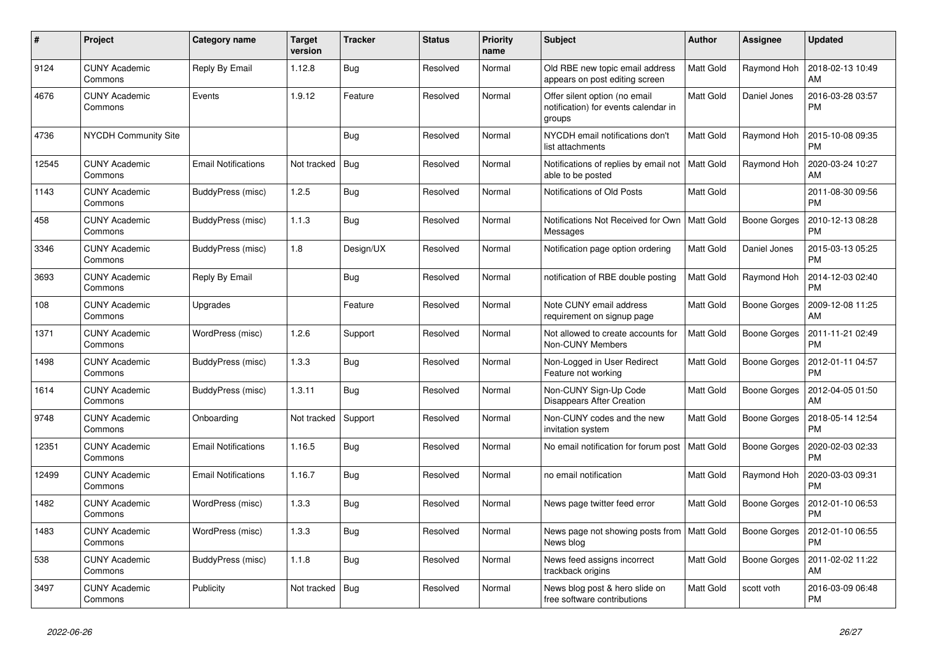| $\#$  | Project                         | Category name              | <b>Target</b><br>version | <b>Tracker</b> | <b>Status</b> | Priority<br>name | <b>Subject</b>                                                                  | <b>Author</b>    | Assignee            | <b>Updated</b>                |
|-------|---------------------------------|----------------------------|--------------------------|----------------|---------------|------------------|---------------------------------------------------------------------------------|------------------|---------------------|-------------------------------|
| 9124  | <b>CUNY Academic</b><br>Commons | Reply By Email             | 1.12.8                   | <b>Bug</b>     | Resolved      | Normal           | Old RBE new topic email address<br>appears on post editing screen               | <b>Matt Gold</b> | Raymond Hoh         | 2018-02-13 10:49<br>AM        |
| 4676  | <b>CUNY Academic</b><br>Commons | Events                     | 1.9.12                   | Feature        | Resolved      | Normal           | Offer silent option (no email<br>notification) for events calendar in<br>groups | Matt Gold        | Daniel Jones        | 2016-03-28 03:57<br><b>PM</b> |
| 4736  | <b>NYCDH Community Site</b>     |                            |                          | Bug            | Resolved      | Normal           | NYCDH email notifications don't<br>list attachments                             | Matt Gold        | Raymond Hoh         | 2015-10-08 09:35<br><b>PM</b> |
| 12545 | <b>CUNY Academic</b><br>Commons | <b>Email Notifications</b> | Not tracked              | <b>Bug</b>     | Resolved      | Normal           | Notifications of replies by email not<br>able to be posted                      | <b>Matt Gold</b> | Raymond Hoh         | 2020-03-24 10:27<br>AM        |
| 1143  | <b>CUNY Academic</b><br>Commons | BuddyPress (misc)          | 1.2.5                    | <b>Bug</b>     | Resolved      | Normal           | Notifications of Old Posts                                                      | Matt Gold        |                     | 2011-08-30 09:56<br><b>PM</b> |
| 458   | <b>CUNY Academic</b><br>Commons | BuddyPress (misc)          | 1.1.3                    | <b>Bug</b>     | Resolved      | Normal           | Notifications Not Received for Own<br>Messages                                  | <b>Matt Gold</b> | <b>Boone Gorges</b> | 2010-12-13 08:28<br><b>PM</b> |
| 3346  | <b>CUNY Academic</b><br>Commons | BuddyPress (misc)          | 1.8                      | Design/UX      | Resolved      | Normal           | Notification page option ordering                                               | Matt Gold        | Daniel Jones        | 2015-03-13 05:25<br><b>PM</b> |
| 3693  | <b>CUNY Academic</b><br>Commons | Reply By Email             |                          | <b>Bug</b>     | Resolved      | Normal           | notification of RBE double posting                                              | Matt Gold        | Raymond Hoh         | 2014-12-03 02:40<br><b>PM</b> |
| 108   | <b>CUNY Academic</b><br>Commons | Upgrades                   |                          | Feature        | Resolved      | Normal           | Note CUNY email address<br>requirement on signup page                           | Matt Gold        | <b>Boone Gorges</b> | 2009-12-08 11:25<br>AM        |
| 1371  | <b>CUNY Academic</b><br>Commons | WordPress (misc)           | 1.2.6                    | Support        | Resolved      | Normal           | Not allowed to create accounts for<br><b>Non-CUNY Members</b>                   | Matt Gold        | <b>Boone Gorges</b> | 2011-11-21 02:49<br><b>PM</b> |
| 1498  | <b>CUNY Academic</b><br>Commons | BuddyPress (misc)          | 1.3.3                    | <b>Bug</b>     | Resolved      | Normal           | Non-Logged in User Redirect<br>Feature not working                              | Matt Gold        | Boone Gorges        | 2012-01-11 04:57<br><b>PM</b> |
| 1614  | <b>CUNY Academic</b><br>Commons | BuddyPress (misc)          | 1.3.11                   | <b>Bug</b>     | Resolved      | Normal           | Non-CUNY Sign-Up Code<br><b>Disappears After Creation</b>                       | <b>Matt Gold</b> | <b>Boone Gorges</b> | 2012-04-05 01:50<br>AM        |
| 9748  | <b>CUNY Academic</b><br>Commons | Onboarding                 | Not tracked              | Support        | Resolved      | Normal           | Non-CUNY codes and the new<br>invitation system                                 | <b>Matt Gold</b> | Boone Gorges        | 2018-05-14 12:54<br><b>PM</b> |
| 12351 | CUNY Academic<br>Commons        | <b>Email Notifications</b> | 1.16.5                   | Bug            | Resolved      | Normal           | No email notification for forum post                                            | Matt Gold        | Boone Gorges        | 2020-02-03 02:33<br><b>PM</b> |
| 12499 | <b>CUNY Academic</b><br>Commons | <b>Email Notifications</b> | 1.16.7                   | <b>Bug</b>     | Resolved      | Normal           | no email notification                                                           | Matt Gold        | Raymond Hoh         | 2020-03-03 09:31<br><b>PM</b> |
| 1482  | <b>CUNY Academic</b><br>Commons | WordPress (misc)           | 1.3.3                    | Bug            | Resolved      | Normal           | News page twitter feed error                                                    | Matt Gold        | <b>Boone Gorges</b> | 2012-01-10 06:53<br>PM        |
| 1483  | <b>CUNY Academic</b><br>Commons | WordPress (misc)           | 1.3.3                    | Bug            | Resolved      | Normal           | News page not showing posts from<br>News blog                                   | <b>Matt Gold</b> | <b>Boone Gorges</b> | 2012-01-10 06:55<br><b>PM</b> |
| 538   | <b>CUNY Academic</b><br>Commons | BuddyPress (misc)          | 1.1.8                    | <b>Bug</b>     | Resolved      | Normal           | News feed assigns incorrect<br>trackback origins                                | Matt Gold        | <b>Boone Gorges</b> | 2011-02-02 11:22<br>AM        |
| 3497  | CUNY Academic<br>Commons        | Publicity                  | Not tracked              | Bug            | Resolved      | Normal           | News blog post & hero slide on<br>free software contributions                   | Matt Gold        | scott voth          | 2016-03-09 06:48<br><b>PM</b> |